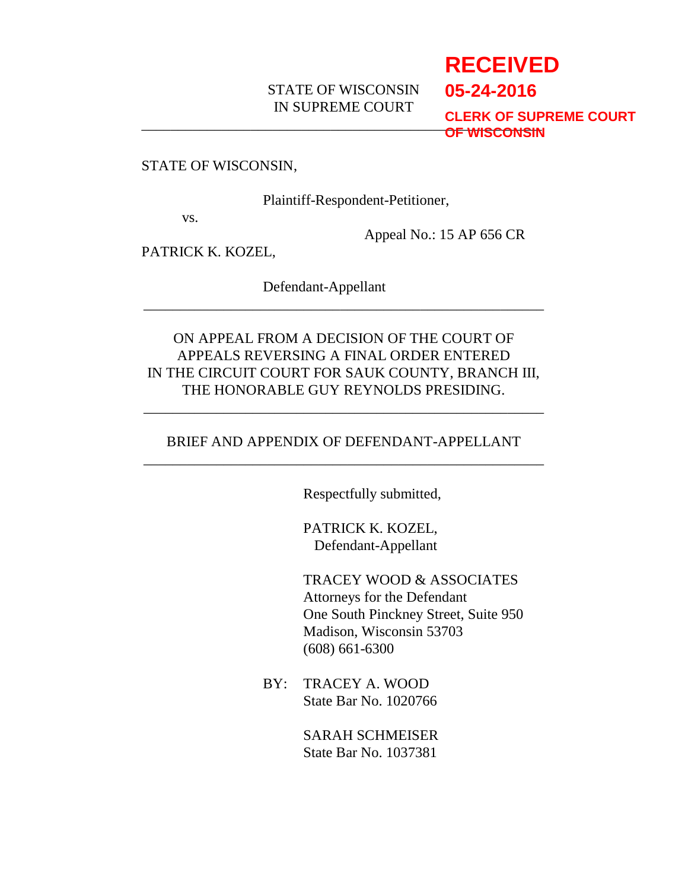## STATE OF WISCONSIN IN SUPREME COURT

# \_\_\_\_\_\_\_\_\_\_\_\_\_\_\_\_\_\_\_\_\_\_\_\_\_\_\_\_\_\_\_\_\_\_\_\_\_\_\_\_\_\_\_\_\_\_\_\_\_\_\_\_\_\_\_ **OF WISCONSINRECEIVED 05-24-2016 CLERK OF SUPREME COURT**

### STATE OF WISCONSIN,

Plaintiff-Respondent-Petitioner,

vs.

Appeal No.: 15 AP 656 CR

PATRICK K. KOZEL,

Defendant-Appellant

ON APPEAL FROM A DECISION OF THE COURT OF APPEALS REVERSING A FINAL ORDER ENTERED IN THE CIRCUIT COURT FOR SAUK COUNTY, BRANCH III, THE HONORABLE GUY REYNOLDS PRESIDING.

\_\_\_\_\_\_\_\_\_\_\_\_\_\_\_\_\_\_\_\_\_\_\_\_\_\_\_\_\_\_\_\_\_\_\_\_\_\_\_\_\_\_\_\_\_\_\_\_\_\_\_\_\_\_\_

### BRIEF AND APPENDIX OF DEFENDANT-APPELLANT \_\_\_\_\_\_\_\_\_\_\_\_\_\_\_\_\_\_\_\_\_\_\_\_\_\_\_\_\_\_\_\_\_\_\_\_\_\_\_\_\_\_\_\_\_\_\_\_\_\_\_\_\_\_\_

\_\_\_\_\_\_\_\_\_\_\_\_\_\_\_\_\_\_\_\_\_\_\_\_\_\_\_\_\_\_\_\_\_\_\_\_\_\_\_\_\_\_\_\_\_\_\_\_\_\_\_\_\_\_\_

Respectfully submitted,

PATRICK K. KOZEL, Defendant-Appellant

TRACEY WOOD & ASSOCIATES Attorneys for the Defendant One South Pinckney Street, Suite 950 Madison, Wisconsin 53703 (608) 661-6300

BY: TRACEY A. WOOD State Bar No. 1020766

> SARAH SCHMEISER State Bar No. 1037381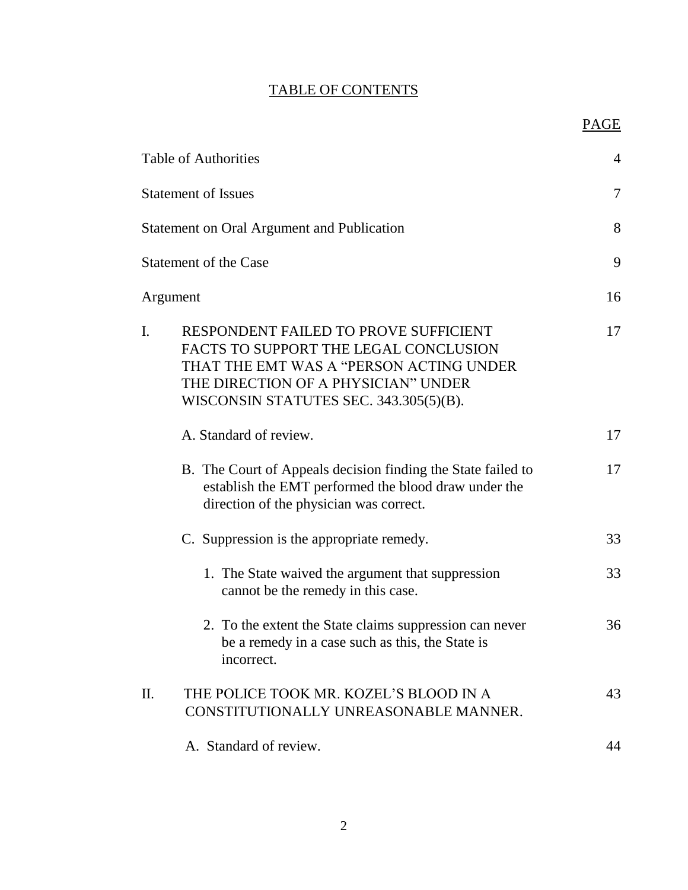## TABLE OF CONTENTS

PAGE

| <b>Table of Authorities</b>                                                                                                                                                                                      | 4  |
|------------------------------------------------------------------------------------------------------------------------------------------------------------------------------------------------------------------|----|
| <b>Statement of Issues</b>                                                                                                                                                                                       | 7  |
|                                                                                                                                                                                                                  |    |
| <b>Statement on Oral Argument and Publication</b>                                                                                                                                                                | 8  |
| <b>Statement of the Case</b>                                                                                                                                                                                     | 9  |
| Argument                                                                                                                                                                                                         | 16 |
| RESPONDENT FAILED TO PROVE SUFFICIENT<br>I.<br>FACTS TO SUPPORT THE LEGAL CONCLUSION<br>THAT THE EMT WAS A "PERSON ACTING UNDER<br>THE DIRECTION OF A PHYSICIAN" UNDER<br>WISCONSIN STATUTES SEC. 343.305(5)(B). | 17 |
| A. Standard of review.                                                                                                                                                                                           | 17 |
| B. The Court of Appeals decision finding the State failed to<br>establish the EMT performed the blood draw under the<br>direction of the physician was correct.                                                  | 17 |
| C. Suppression is the appropriate remedy.                                                                                                                                                                        | 33 |
| 1. The State waived the argument that suppression<br>cannot be the remedy in this case.                                                                                                                          | 33 |
| 2. To the extent the State claims suppression can never<br>be a remedy in a case such as this, the State is<br>incorrect.                                                                                        | 36 |
| THE POLICE TOOK MR. KOZEL'S BLOOD IN A<br>П.<br>CONSTITUTIONALLY UNREASONABLE MANNER.                                                                                                                            | 43 |
| A. Standard of review.                                                                                                                                                                                           | 44 |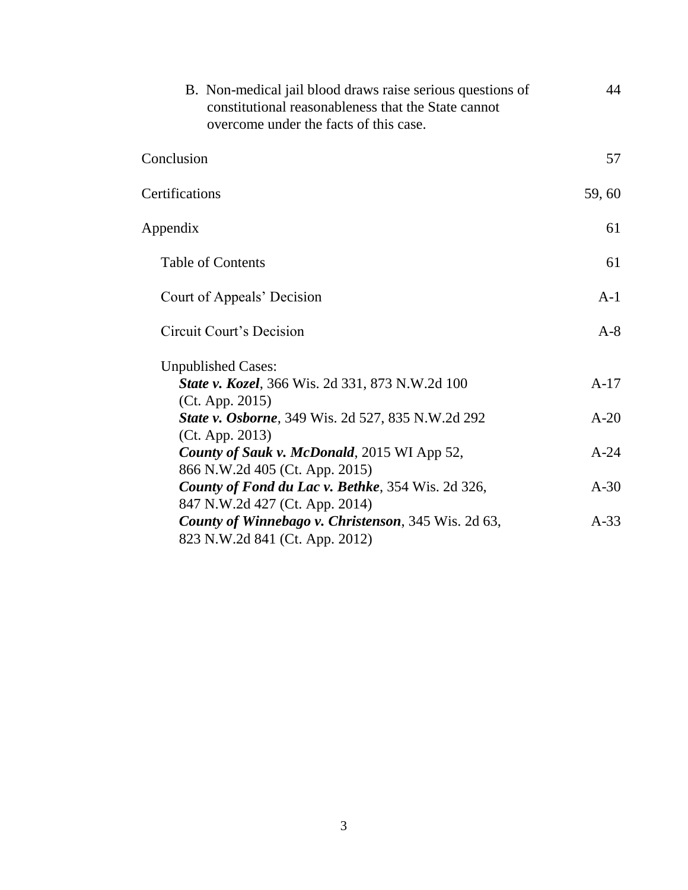| B. Non-medical jail blood draws raise serious questions of<br>constitutional reasonableness that the State cannot<br>overcome under the facts of this case. | 44     |
|-------------------------------------------------------------------------------------------------------------------------------------------------------------|--------|
| Conclusion                                                                                                                                                  | 57     |
| Certifications                                                                                                                                              | 59,60  |
| Appendix                                                                                                                                                    | 61     |
| <b>Table of Contents</b>                                                                                                                                    | 61     |
| Court of Appeals' Decision                                                                                                                                  | $A-1$  |
| Circuit Court's Decision                                                                                                                                    | $A-8$  |
| <b>Unpublished Cases:</b><br><b>State v. Kozel</b> , 366 Wis. 2d 331, 873 N.W.2d 100<br>(Ct. App. 2015)                                                     | $A-17$ |
| <b>State v. Osborne</b> , 349 Wis. 2d 527, 835 N.W.2d 292<br>(Ct. App. 2013)                                                                                | $A-20$ |
| County of Sauk v. McDonald, 2015 WI App 52,<br>866 N.W.2d 405 (Ct. App. 2015)                                                                               | $A-24$ |
| County of Fond du Lac v. Bethke, 354 Wis. 2d 326,<br>847 N.W.2d 427 (Ct. App. 2014)                                                                         | $A-30$ |
| <b>County of Winnebago v. Christenson</b> , 345 Wis. 2d 63,<br>823 N.W.2d 841 (Ct. App. 2012)                                                               | $A-33$ |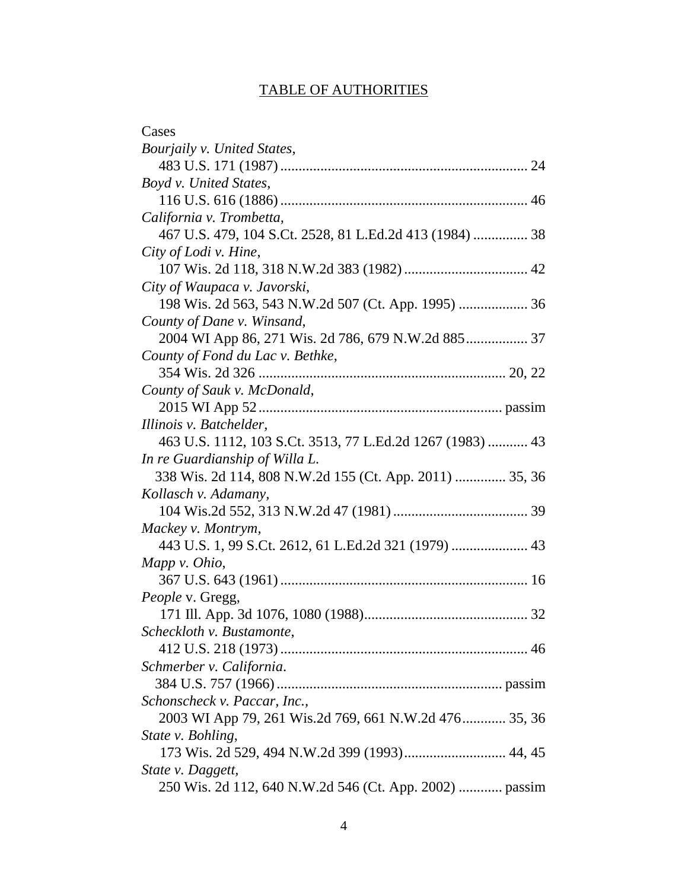## TABLE OF AUTHORITIES

| Cases                                                     |
|-----------------------------------------------------------|
| Bourjaily v. United States,                               |
|                                                           |
| Boyd v. United States,                                    |
|                                                           |
| California v. Trombetta,                                  |
| 467 U.S. 479, 104 S.Ct. 2528, 81 L.Ed.2d 413 (1984)  38   |
| City of Lodi v. Hine,                                     |
|                                                           |
| City of Waupaca v. Javorski,                              |
| 198 Wis. 2d 563, 543 N.W.2d 507 (Ct. App. 1995)  36       |
| County of Dane v. Winsand,                                |
| 2004 WI App 86, 271 Wis. 2d 786, 679 N.W.2d 885 37        |
| County of Fond du Lac v. Bethke,                          |
|                                                           |
| County of Sauk v. McDonald,                               |
|                                                           |
| Illinois v. Batchelder,                                   |
| 463 U.S. 1112, 103 S.Ct. 3513, 77 L.Ed.2d 1267 (1983)  43 |
| In re Guardianship of Willa L.                            |
| 338 Wis. 2d 114, 808 N.W.2d 155 (Ct. App. 2011)  35, 36   |
| Kollasch v. Adamany,                                      |
|                                                           |
| Mackey v. Montrym,                                        |
|                                                           |
| Mapp v. Ohio,                                             |
|                                                           |
| People v. Gregg,                                          |
|                                                           |
| Scheckloth v. Bustamonte,                                 |
|                                                           |
| Schmerber v. California.                                  |
|                                                           |
| Schonscheck v. Paccar, Inc.,                              |
| 2003 WI App 79, 261 Wis.2d 769, 661 N.W.2d 476 35, 36     |
| State v. Bohling,                                         |
|                                                           |
| State v. Daggett,                                         |
| 250 Wis. 2d 112, 640 N.W.2d 546 (Ct. App. 2002)  passim   |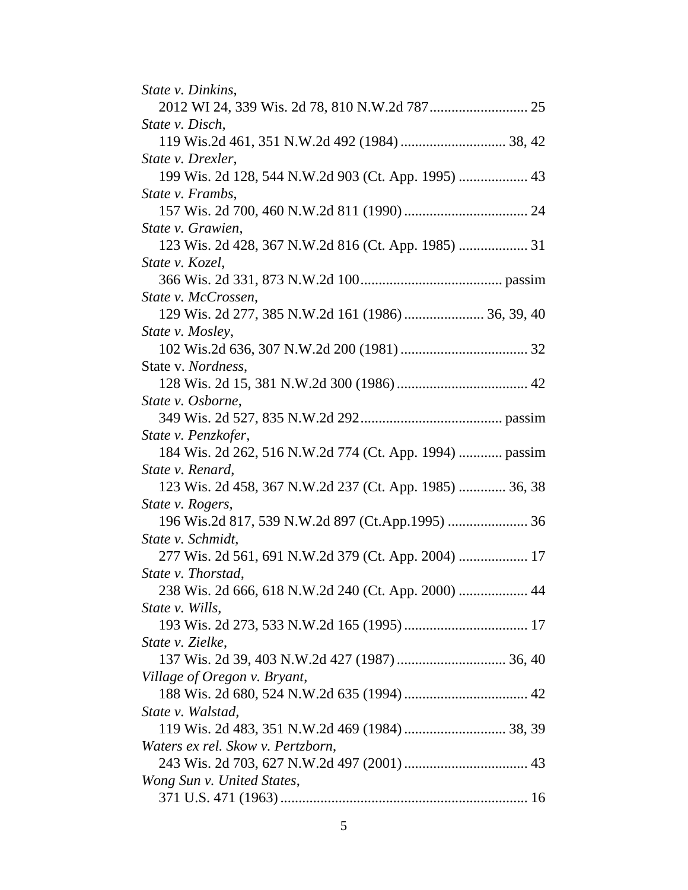| <i>State v. Dinkins,</i>                                |
|---------------------------------------------------------|
|                                                         |
| State v. Disch,                                         |
|                                                         |
| State v. Drexler,                                       |
| 199 Wis. 2d 128, 544 N.W.2d 903 (Ct. App. 1995)  43     |
| State v. Frambs,                                        |
|                                                         |
| State v. Grawien,                                       |
|                                                         |
| State v. Kozel,                                         |
|                                                         |
| State v. McCrossen,                                     |
|                                                         |
| State v. Mosley,                                        |
|                                                         |
| State v. Nordness,                                      |
|                                                         |
| State v. Osborne,                                       |
|                                                         |
| State v. Penzkofer,                                     |
| 184 Wis. 2d 262, 516 N.W.2d 774 (Ct. App. 1994)  passim |
| State v. Renard,                                        |
| 123 Wis. 2d 458, 367 N.W.2d 237 (Ct. App. 1985)  36, 38 |
| State v. Rogers,                                        |
| 196 Wis.2d 817, 539 N.W.2d 897 (Ct.App.1995)  36        |
| State v. Schmidt,                                       |
| 277 Wis. 2d 561, 691 N.W.2d 379 (Ct. App. 2004)  17     |
| State v. Thorstad,                                      |
| 238 Wis. 2d 666, 618 N.W.2d 240 (Ct. App. 2000)  44     |
| State v. Wills,                                         |
|                                                         |
| State v. Zielke,                                        |
|                                                         |
| Village of Oregon v. Bryant,                            |
|                                                         |
| State v. Walstad,                                       |
|                                                         |
| Waters ex rel. Skow v. Pertzborn,                       |
|                                                         |
| Wong Sun v. United States,                              |
|                                                         |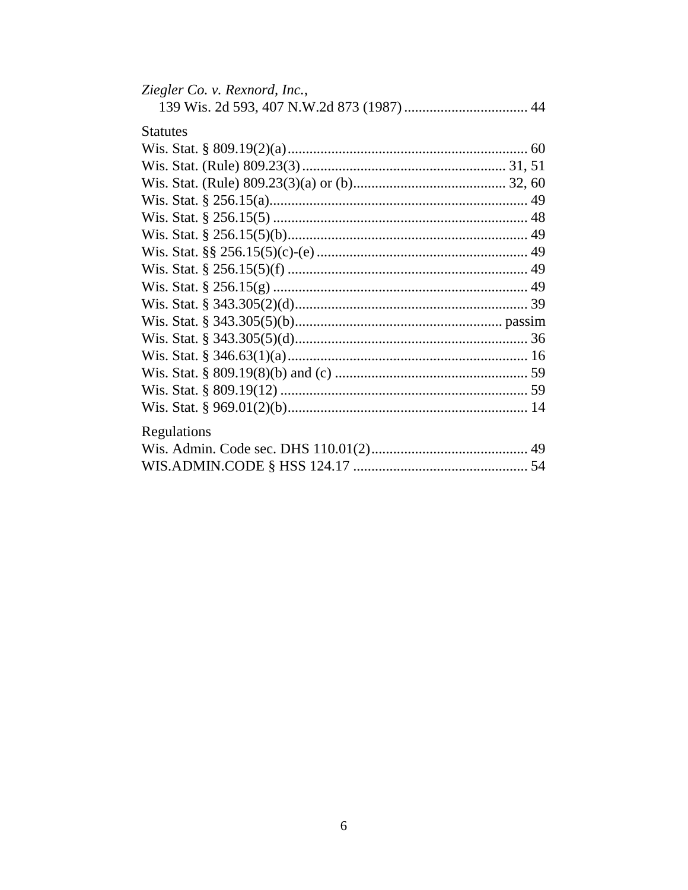| Ziegler Co. v. Rexnord, Inc., |  |
|-------------------------------|--|
|                               |  |
| <b>Statutes</b>               |  |
|                               |  |
|                               |  |
|                               |  |
|                               |  |
|                               |  |
|                               |  |
|                               |  |
|                               |  |
|                               |  |
|                               |  |
|                               |  |
|                               |  |
|                               |  |
|                               |  |
|                               |  |
|                               |  |
| Regulations                   |  |
|                               |  |
|                               |  |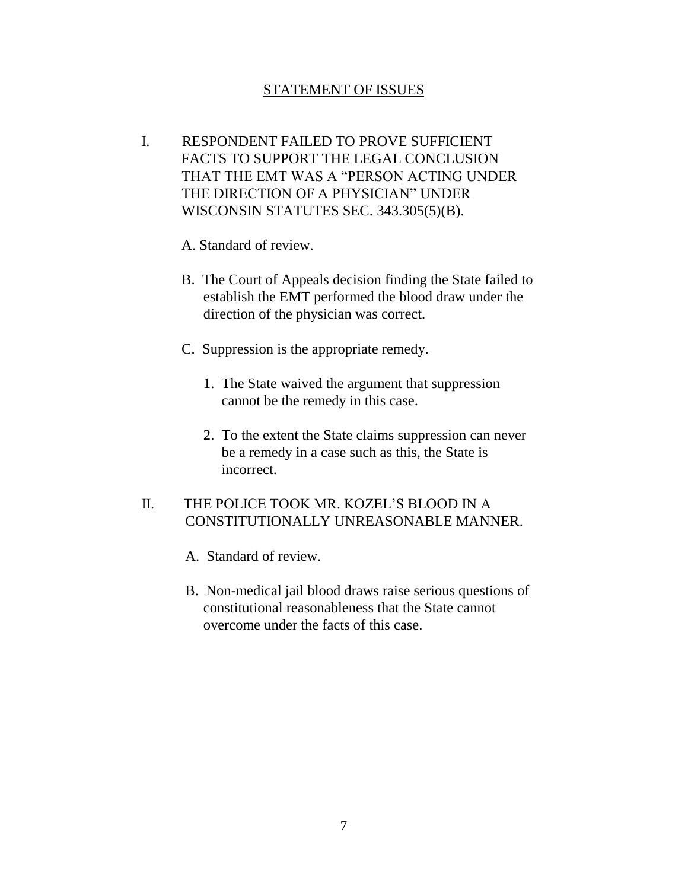### STATEMENT OF ISSUES

I. RESPONDENT FAILED TO PROVE SUFFICIENT FACTS TO SUPPORT THE LEGAL CONCLUSION THAT THE EMT WAS A "PERSON ACTING UNDER THE DIRECTION OF A PHYSICIAN" UNDER WISCONSIN STATUTES SEC. 343.305(5)(B).

A. Standard of review.

- B. The Court of Appeals decision finding the State failed to establish the EMT performed the blood draw under the direction of the physician was correct.
- C. Suppression is the appropriate remedy.
	- 1. The State waived the argument that suppression cannot be the remedy in this case.
	- 2. To the extent the State claims suppression can never be a remedy in a case such as this, the State is incorrect.

### II. THE POLICE TOOK MR. KOZEL'S BLOOD IN A CONSTITUTIONALLY UNREASONABLE MANNER.

- A. Standard of review.
- B. Non-medical jail blood draws raise serious questions of constitutional reasonableness that the State cannot overcome under the facts of this case.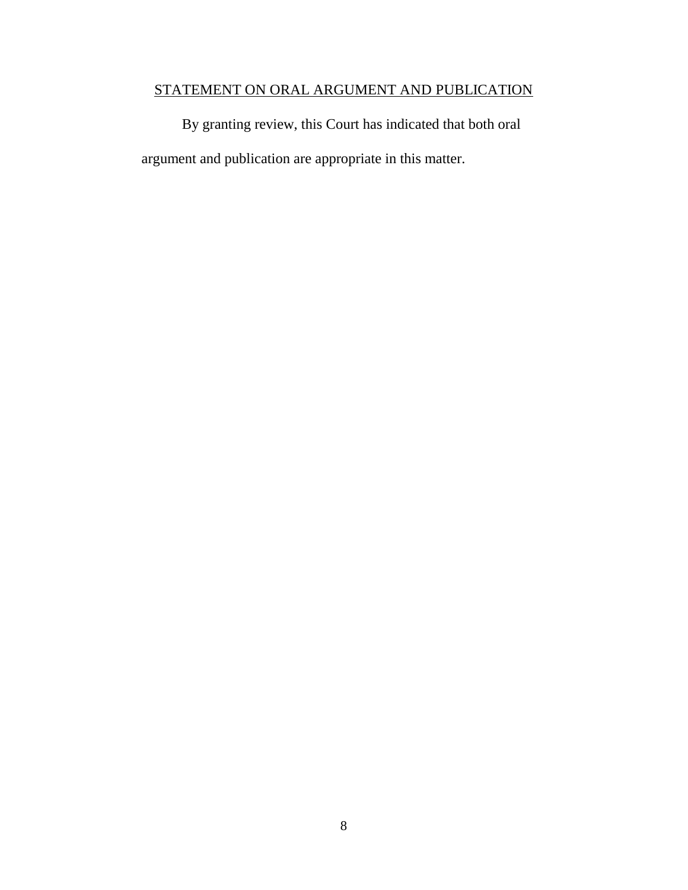## STATEMENT ON ORAL ARGUMENT AND PUBLICATION

By granting review, this Court has indicated that both oral argument and publication are appropriate in this matter.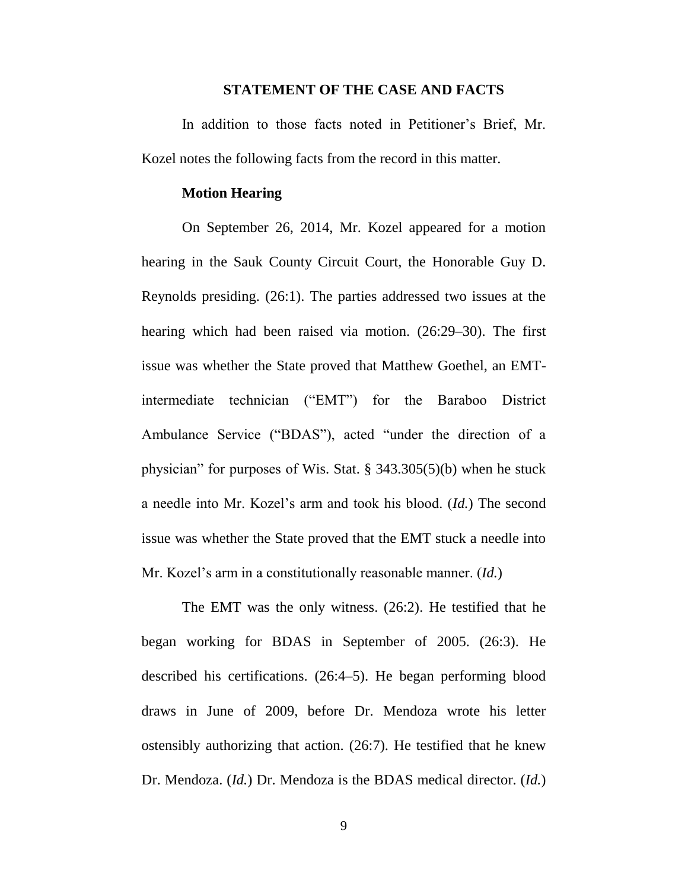#### **STATEMENT OF THE CASE AND FACTS**

In addition to those facts noted in Petitioner's Brief, Mr. Kozel notes the following facts from the record in this matter.

### **Motion Hearing**

On September 26, 2014, Mr. Kozel appeared for a motion hearing in the Sauk County Circuit Court, the Honorable Guy D. Reynolds presiding. (26:1). The parties addressed two issues at the hearing which had been raised via motion. (26:29–30). The first issue was whether the State proved that Matthew Goethel, an EMTintermediate technician ("EMT") for the Baraboo District Ambulance Service ("BDAS"), acted "under the direction of a physician" for purposes of Wis. Stat. § 343.305(5)(b) when he stuck a needle into Mr. Kozel's arm and took his blood. (*Id.*) The second issue was whether the State proved that the EMT stuck a needle into Mr. Kozel's arm in a constitutionally reasonable manner. (*Id.*)

The EMT was the only witness. (26:2). He testified that he began working for BDAS in September of 2005. (26:3). He described his certifications. (26:4–5). He began performing blood draws in June of 2009, before Dr. Mendoza wrote his letter ostensibly authorizing that action. (26:7). He testified that he knew Dr. Mendoza. (*Id.*) Dr. Mendoza is the BDAS medical director. (*Id.*)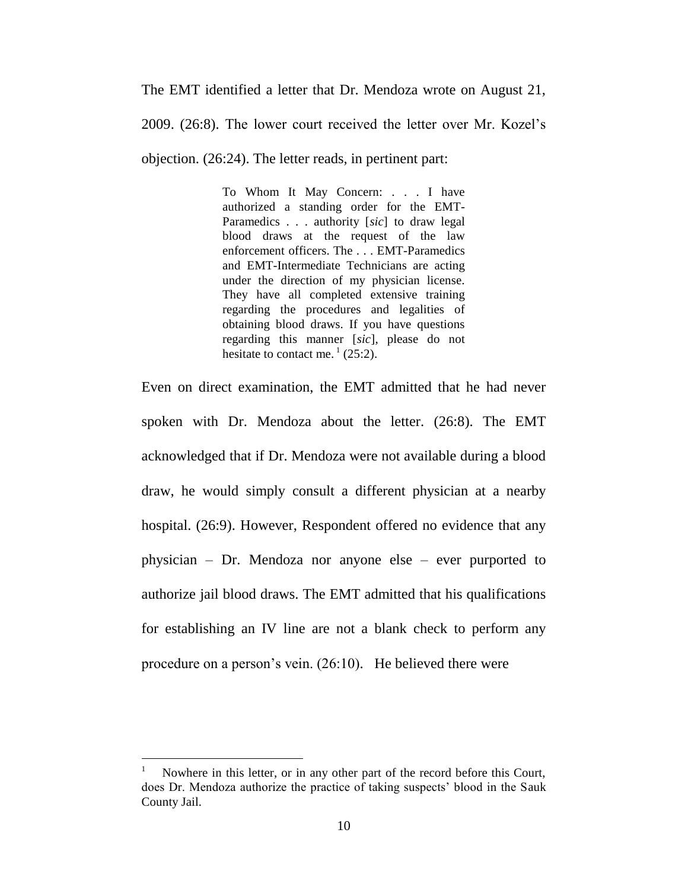The EMT identified a letter that Dr. Mendoza wrote on August 21,

2009. (26:8). The lower court received the letter over Mr. Kozel's

objection. (26:24). The letter reads, in pertinent part:

To Whom It May Concern: . . . I have authorized a standing order for the EMT-Paramedics . . . authority [*sic*] to draw legal blood draws at the request of the law enforcement officers. The . . . EMT-Paramedics and EMT-Intermediate Technicians are acting under the direction of my physician license. They have all completed extensive training regarding the procedures and legalities of obtaining blood draws. If you have questions regarding this manner [*sic*], please do not hesitate to contact me.<sup>1</sup> (25:2).

Even on direct examination, the EMT admitted that he had never spoken with Dr. Mendoza about the letter. (26:8). The EMT acknowledged that if Dr. Mendoza were not available during a blood draw, he would simply consult a different physician at a nearby hospital. (26:9). However, Respondent offered no evidence that any physician – Dr. Mendoza nor anyone else – ever purported to authorize jail blood draws. The EMT admitted that his qualifications for establishing an IV line are not a blank check to perform any procedure on a person's vein. (26:10). He believed there were

 $\overline{a}$ 

<sup>1</sup> Nowhere in this letter, or in any other part of the record before this Court, does Dr. Mendoza authorize the practice of taking suspects' blood in the Sauk County Jail.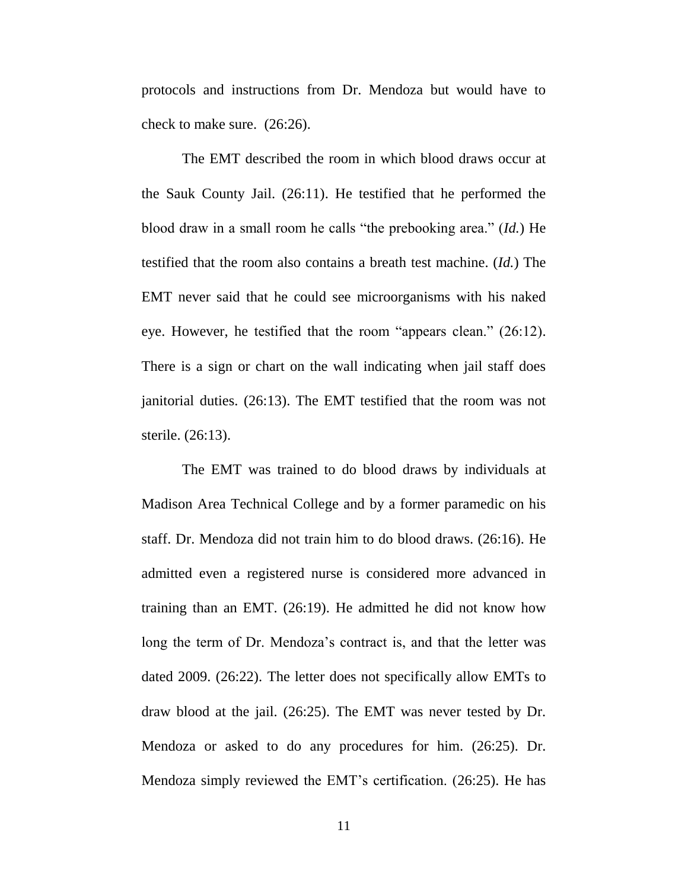protocols and instructions from Dr. Mendoza but would have to check to make sure. (26:26).

The EMT described the room in which blood draws occur at the Sauk County Jail. (26:11). He testified that he performed the blood draw in a small room he calls "the prebooking area." (*Id.*) He testified that the room also contains a breath test machine. (*Id.*) The EMT never said that he could see microorganisms with his naked eye. However, he testified that the room "appears clean." (26:12). There is a sign or chart on the wall indicating when jail staff does janitorial duties. (26:13). The EMT testified that the room was not sterile. (26:13).

The EMT was trained to do blood draws by individuals at Madison Area Technical College and by a former paramedic on his staff. Dr. Mendoza did not train him to do blood draws. (26:16). He admitted even a registered nurse is considered more advanced in training than an EMT. (26:19). He admitted he did not know how long the term of Dr. Mendoza's contract is, and that the letter was dated 2009. (26:22). The letter does not specifically allow EMTs to draw blood at the jail. (26:25). The EMT was never tested by Dr. Mendoza or asked to do any procedures for him. (26:25). Dr. Mendoza simply reviewed the EMT's certification. (26:25). He has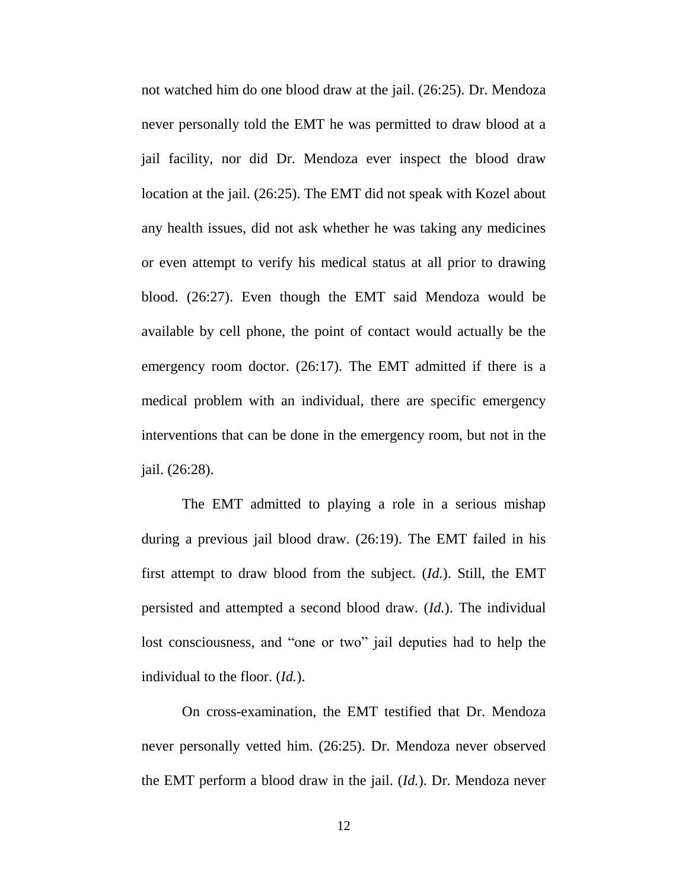not watched him do one blood draw at the jail. (26:25). Dr. Mendoza never personally told the EMT he was permitted to draw blood at a jail facility, nor did Dr. Mendoza ever inspect the blood draw location at the jail. (26:25). The EMT did not speak with Kozel about any health issues, did not ask whether he was taking any medicines or even attempt to verify his medical status at all prior to drawing blood. (26:27). Even though the EMT said Mendoza would be available by cell phone, the point of contact would actually be the emergency room doctor. (26:17). The EMT admitted if there is a medical problem with an individual, there are specific emergency interventions that can be done in the emergency room, but not in the jail. (26:28).

The EMT admitted to playing a role in a serious mishap during a previous jail blood draw. (26:19). The EMT failed in his first attempt to draw blood from the subject. (*Id.*). Still, the EMT persisted and attempted a second blood draw. (*Id.*). The individual lost consciousness, and "one or two" jail deputies had to help the individual to the floor. (*Id.*).

On cross-examination, the EMT testified that Dr. Mendoza never personally vetted him. (26:25). Dr. Mendoza never observed the EMT perform a blood draw in the jail. (*Id.*). Dr. Mendoza never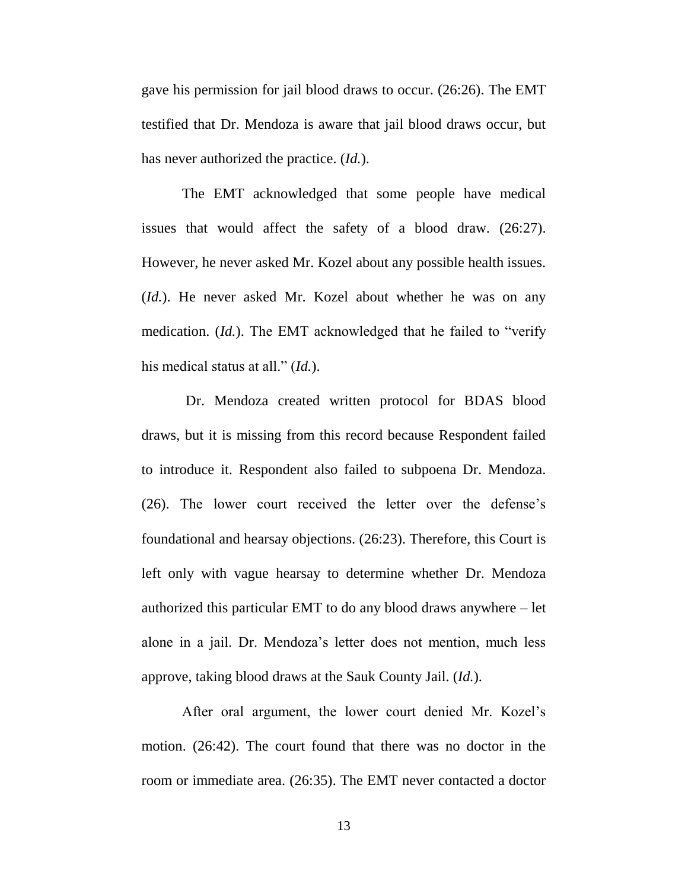gave his permission for jail blood draws to occur. (26:26). The EMT testified that Dr. Mendoza is aware that jail blood draws occur, but has never authorized the practice. (*Id.*).

The EMT acknowledged that some people have medical issues that would affect the safety of a blood draw. (26:27). However, he never asked Mr. Kozel about any possible health issues. (*Id.*). He never asked Mr. Kozel about whether he was on any medication. (*Id.*). The EMT acknowledged that he failed to "verify his medical status at all." (*Id.*).

Dr. Mendoza created written protocol for BDAS blood draws, but it is missing from this record because Respondent failed to introduce it. Respondent also failed to subpoena Dr. Mendoza. (26). The lower court received the letter over the defense's foundational and hearsay objections. (26:23). Therefore, this Court is left only with vague hearsay to determine whether Dr. Mendoza authorized this particular EMT to do any blood draws anywhere – let alone in a jail. Dr. Mendoza's letter does not mention, much less approve, taking blood draws at the Sauk County Jail. (*Id.*).

After oral argument, the lower court denied Mr. Kozel's motion. (26:42). The court found that there was no doctor in the room or immediate area. (26:35). The EMT never contacted a doctor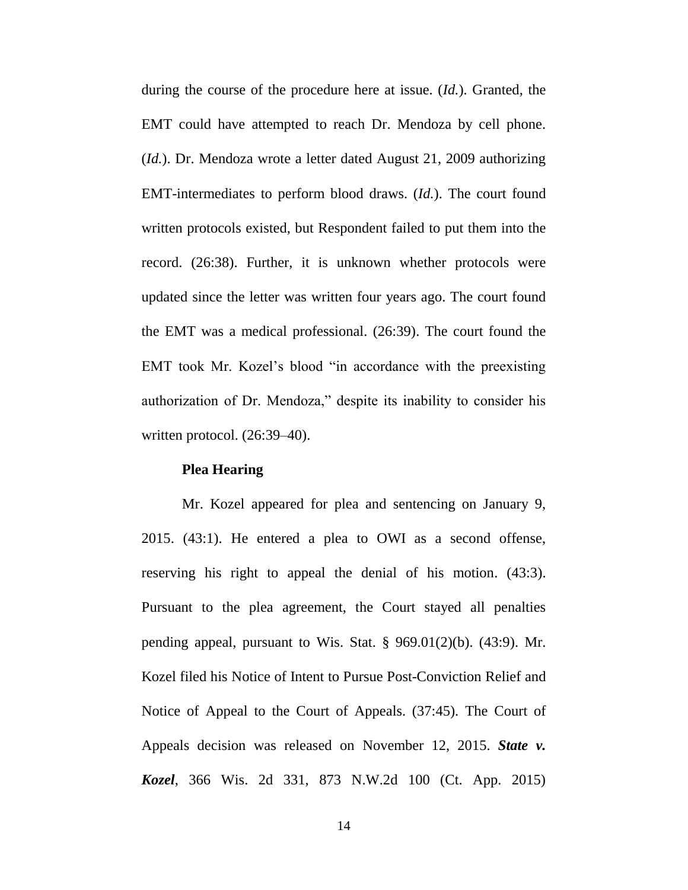during the course of the procedure here at issue. (*Id.*). Granted, the EMT could have attempted to reach Dr. Mendoza by cell phone. (*Id.*). Dr. Mendoza wrote a letter dated August 21, 2009 authorizing EMT-intermediates to perform blood draws. (*Id.*). The court found written protocols existed, but Respondent failed to put them into the record. (26:38). Further, it is unknown whether protocols were updated since the letter was written four years ago. The court found the EMT was a medical professional. (26:39). The court found the EMT took Mr. Kozel's blood "in accordance with the preexisting authorization of Dr. Mendoza," despite its inability to consider his written protocol. (26:39–40).

### **Plea Hearing**

Mr. Kozel appeared for plea and sentencing on January 9, 2015. (43:1). He entered a plea to OWI as a second offense, reserving his right to appeal the denial of his motion. (43:3). Pursuant to the plea agreement, the Court stayed all penalties pending appeal, pursuant to Wis. Stat.  $\S$  969.01(2)(b). (43:9). Mr. Kozel filed his Notice of Intent to Pursue Post-Conviction Relief and Notice of Appeal to the Court of Appeals. (37:45). The Court of Appeals decision was released on November 12, 2015. *State v. Kozel*, 366 Wis. 2d 331, 873 N.W.2d 100 (Ct. App. 2015)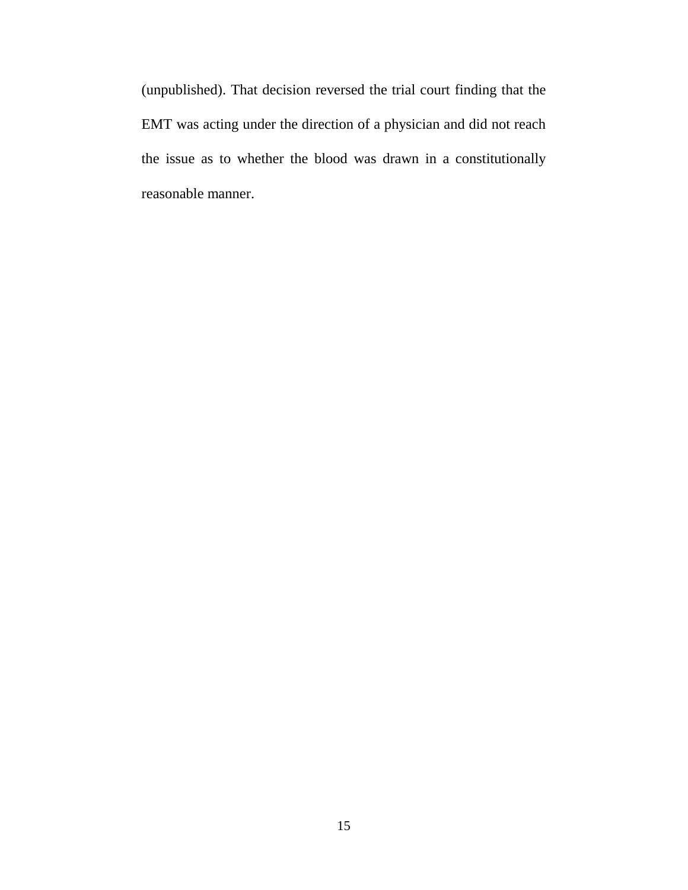(unpublished). That decision reversed the trial court finding that the EMT was acting under the direction of a physician and did not reach the issue as to whether the blood was drawn in a constitutionally reasonable manner.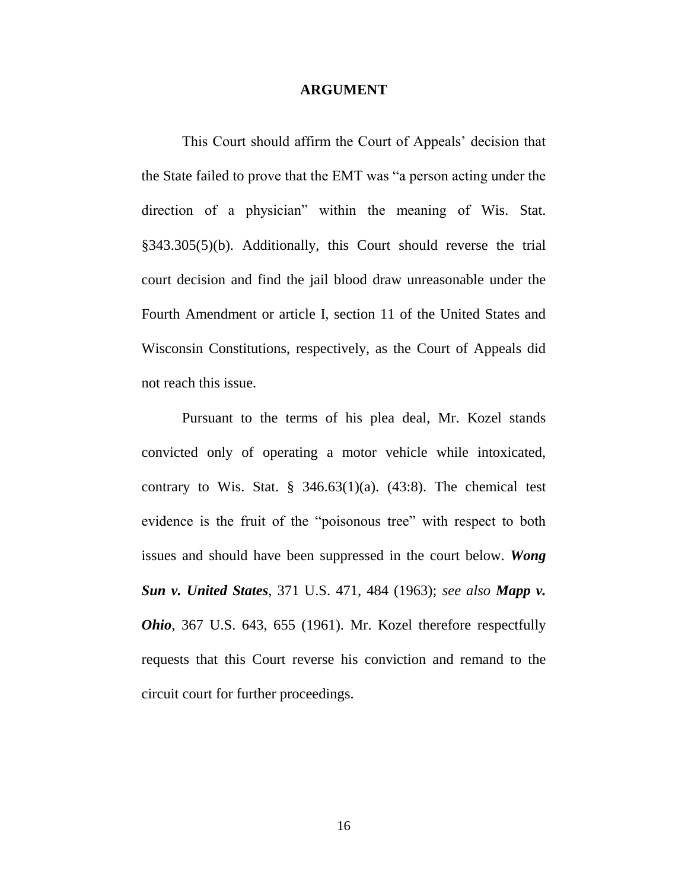#### **ARGUMENT**

This Court should affirm the Court of Appeals' decision that the State failed to prove that the EMT was "a person acting under the direction of a physician" within the meaning of Wis. Stat. §343.305(5)(b). Additionally, this Court should reverse the trial court decision and find the jail blood draw unreasonable under the Fourth Amendment or article I, section 11 of the United States and Wisconsin Constitutions, respectively, as the Court of Appeals did not reach this issue.

Pursuant to the terms of his plea deal, Mr. Kozel stands convicted only of operating a motor vehicle while intoxicated, contrary to Wis. Stat.  $\S$  346.63(1)(a). (43:8). The chemical test evidence is the fruit of the "poisonous tree" with respect to both issues and should have been suppressed in the court below. *Wong Sun v. United States*, 371 U.S. 471, 484 (1963); *see also Mapp v. Ohio*, 367 U.S. 643, 655 (1961). Mr. Kozel therefore respectfully requests that this Court reverse his conviction and remand to the circuit court for further proceedings.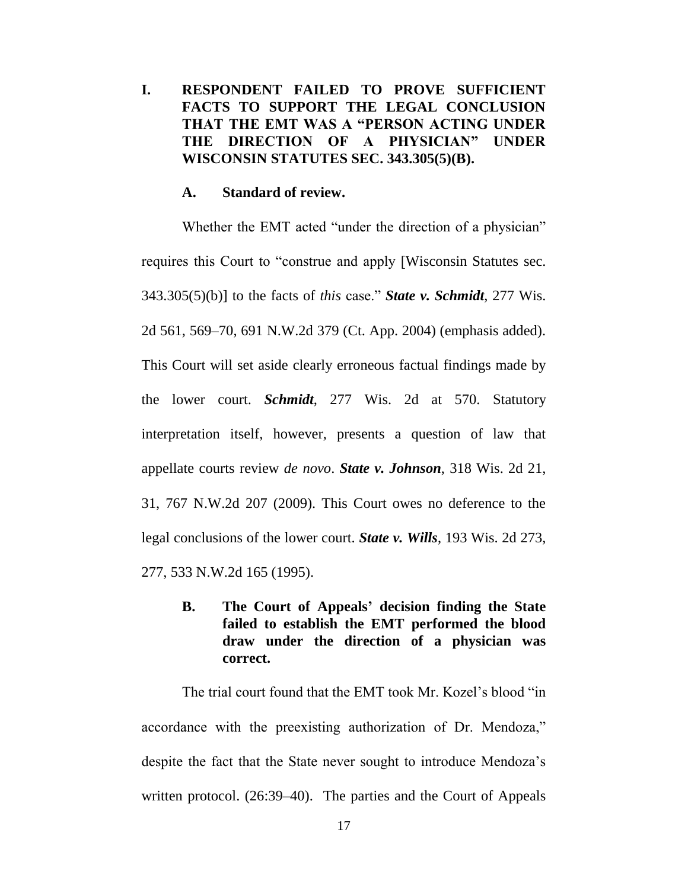### **I. RESPONDENT FAILED TO PROVE SUFFICIENT FACTS TO SUPPORT THE LEGAL CONCLUSION THAT THE EMT WAS A "PERSON ACTING UNDER THE DIRECTION OF A PHYSICIAN" UNDER WISCONSIN STATUTES SEC. 343.305(5)(B).**

#### **A. Standard of review.**

Whether the EMT acted "under the direction of a physician" requires this Court to "construe and apply [Wisconsin Statutes sec. 343.305(5)(b)] to the facts of *this* case." *State v. Schmidt*, 277 Wis. 2d 561, 569–70, 691 N.W.2d 379 (Ct. App. 2004) (emphasis added). This Court will set aside clearly erroneous factual findings made by the lower court. *Schmidt*, 277 Wis. 2d at 570. Statutory interpretation itself, however, presents a question of law that appellate courts review *de novo*. *State v. Johnson*, 318 Wis. 2d 21, 31, 767 N.W.2d 207 (2009). This Court owes no deference to the legal conclusions of the lower court. *State v. Wills*, 193 Wis. 2d 273, 277, 533 N.W.2d 165 (1995).

**B. The Court of Appeals' decision finding the State failed to establish the EMT performed the blood draw under the direction of a physician was correct.** 

The trial court found that the EMT took Mr. Kozel's blood "in accordance with the preexisting authorization of Dr. Mendoza," despite the fact that the State never sought to introduce Mendoza's written protocol. (26:39–40). The parties and the Court of Appeals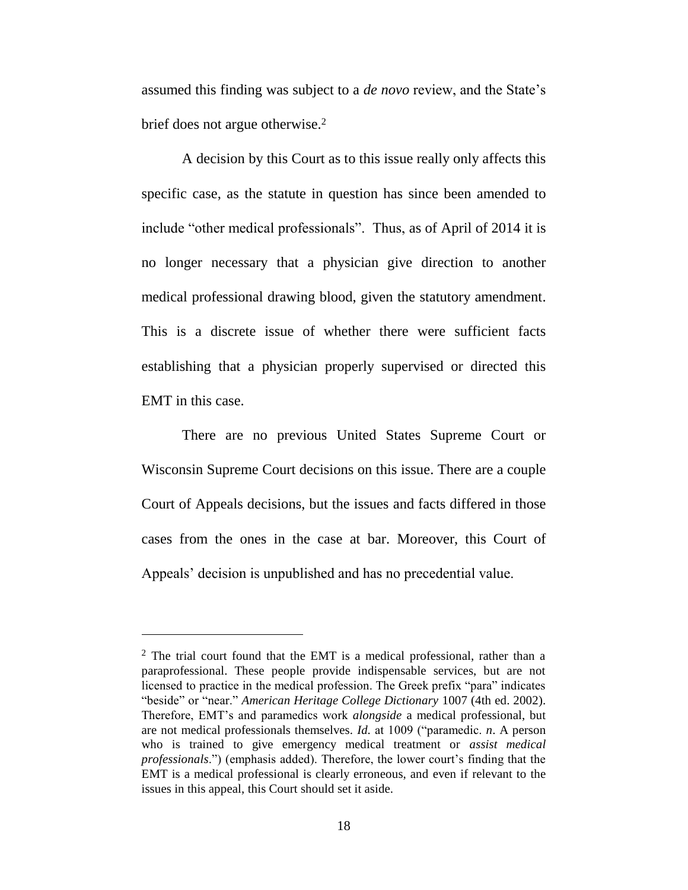assumed this finding was subject to a *de novo* review, and the State's brief does not argue otherwise.<sup>2</sup>

A decision by this Court as to this issue really only affects this specific case, as the statute in question has since been amended to include "other medical professionals". Thus, as of April of 2014 it is no longer necessary that a physician give direction to another medical professional drawing blood, given the statutory amendment. This is a discrete issue of whether there were sufficient facts establishing that a physician properly supervised or directed this EMT in this case.

There are no previous United States Supreme Court or Wisconsin Supreme Court decisions on this issue. There are a couple Court of Appeals decisions, but the issues and facts differed in those cases from the ones in the case at bar. Moreover, this Court of Appeals' decision is unpublished and has no precedential value.

 $\overline{a}$ 

 $2$  The trial court found that the EMT is a medical professional, rather than a paraprofessional. These people provide indispensable services, but are not licensed to practice in the medical profession. The Greek prefix "para" indicates "beside" or "near." *American Heritage College Dictionary* 1007 (4th ed. 2002). Therefore, EMT's and paramedics work *alongside* a medical professional, but are not medical professionals themselves. *Id.* at 1009 ("paramedic. *n*. A person who is trained to give emergency medical treatment or *assist medical professionals*.") (emphasis added). Therefore, the lower court's finding that the EMT is a medical professional is clearly erroneous, and even if relevant to the issues in this appeal, this Court should set it aside.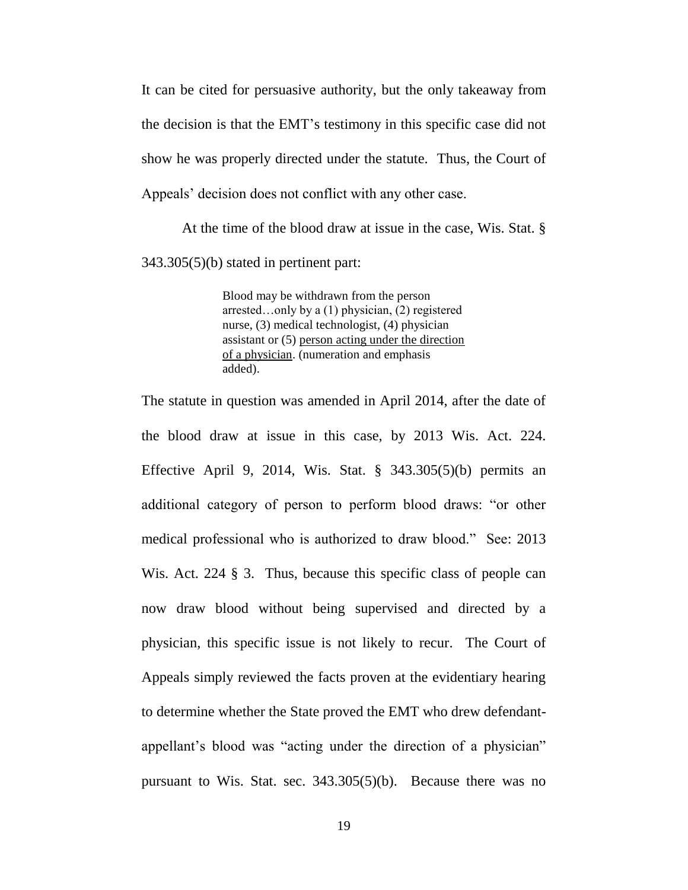It can be cited for persuasive authority, but the only takeaway from the decision is that the EMT's testimony in this specific case did not show he was properly directed under the statute. Thus, the Court of Appeals' decision does not conflict with any other case.

At the time of the blood draw at issue in the case, Wis. Stat. § 343.305(5)(b) stated in pertinent part:

> Blood may be withdrawn from the person arrested…only by a (1) physician, (2) registered nurse, (3) medical technologist, (4) physician assistant or (5) person acting under the direction of a physician. (numeration and emphasis added).

The statute in question was amended in April 2014, after the date of the blood draw at issue in this case, by 2013 Wis. Act. 224. Effective April 9, 2014, Wis. Stat. § 343.305(5)(b) permits an additional category of person to perform blood draws: "or other medical professional who is authorized to draw blood." See: 2013 Wis. Act. 224 § 3. Thus, because this specific class of people can now draw blood without being supervised and directed by a physician, this specific issue is not likely to recur. The Court of Appeals simply reviewed the facts proven at the evidentiary hearing to determine whether the State proved the EMT who drew defendantappellant's blood was "acting under the direction of a physician" pursuant to Wis. Stat. sec. 343.305(5)(b). Because there was no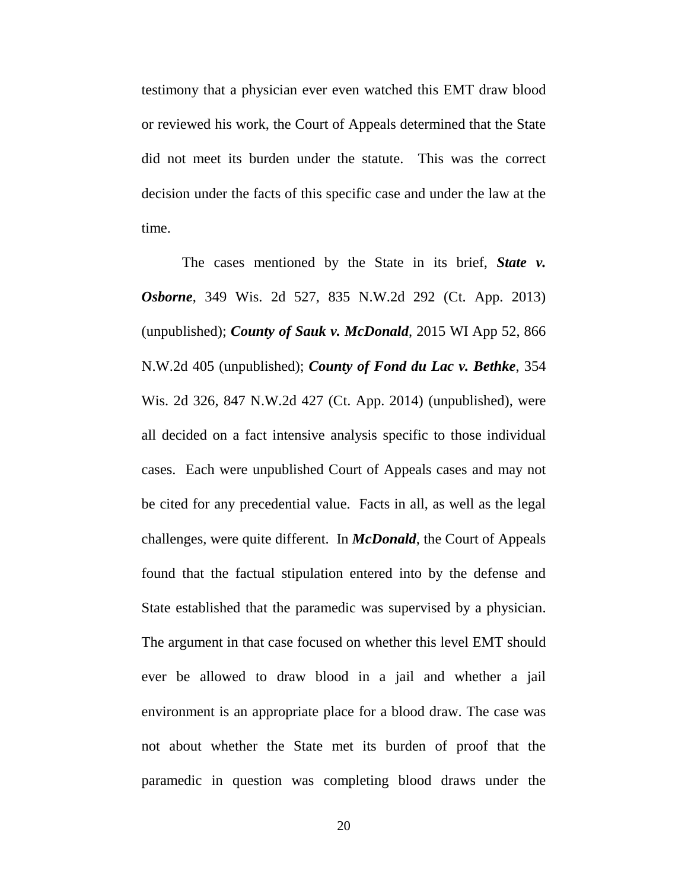testimony that a physician ever even watched this EMT draw blood or reviewed his work, the Court of Appeals determined that the State did not meet its burden under the statute. This was the correct decision under the facts of this specific case and under the law at the time.

The cases mentioned by the State in its brief, *State v. Osborne*, 349 Wis. 2d 527, 835 N.W.2d 292 (Ct. App. 2013) (unpublished); *County of Sauk v. McDonald*, 2015 WI App 52, 866 N.W.2d 405 (unpublished); *County of Fond du Lac v. Bethke*, 354 Wis. 2d 326, 847 N.W.2d 427 (Ct. App. 2014) (unpublished), were all decided on a fact intensive analysis specific to those individual cases. Each were unpublished Court of Appeals cases and may not be cited for any precedential value. Facts in all, as well as the legal challenges, were quite different. In *McDonald*, the Court of Appeals found that the factual stipulation entered into by the defense and State established that the paramedic was supervised by a physician. The argument in that case focused on whether this level EMT should ever be allowed to draw blood in a jail and whether a jail environment is an appropriate place for a blood draw. The case was not about whether the State met its burden of proof that the paramedic in question was completing blood draws under the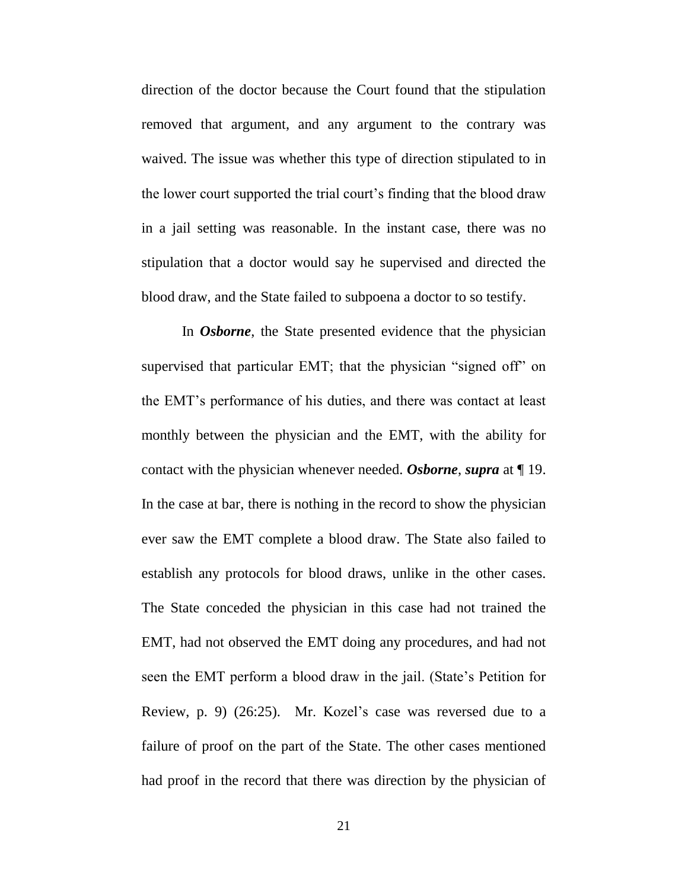direction of the doctor because the Court found that the stipulation removed that argument, and any argument to the contrary was waived. The issue was whether this type of direction stipulated to in the lower court supported the trial court's finding that the blood draw in a jail setting was reasonable. In the instant case, there was no stipulation that a doctor would say he supervised and directed the blood draw, and the State failed to subpoena a doctor to so testify.

In *Osborne*, the State presented evidence that the physician supervised that particular EMT; that the physician "signed off" on the EMT's performance of his duties, and there was contact at least monthly between the physician and the EMT, with the ability for contact with the physician whenever needed. *Osborne*, *supra* at ¶ 19. In the case at bar, there is nothing in the record to show the physician ever saw the EMT complete a blood draw. The State also failed to establish any protocols for blood draws, unlike in the other cases. The State conceded the physician in this case had not trained the EMT, had not observed the EMT doing any procedures, and had not seen the EMT perform a blood draw in the jail. (State's Petition for Review, p. 9) (26:25). Mr. Kozel's case was reversed due to a failure of proof on the part of the State. The other cases mentioned had proof in the record that there was direction by the physician of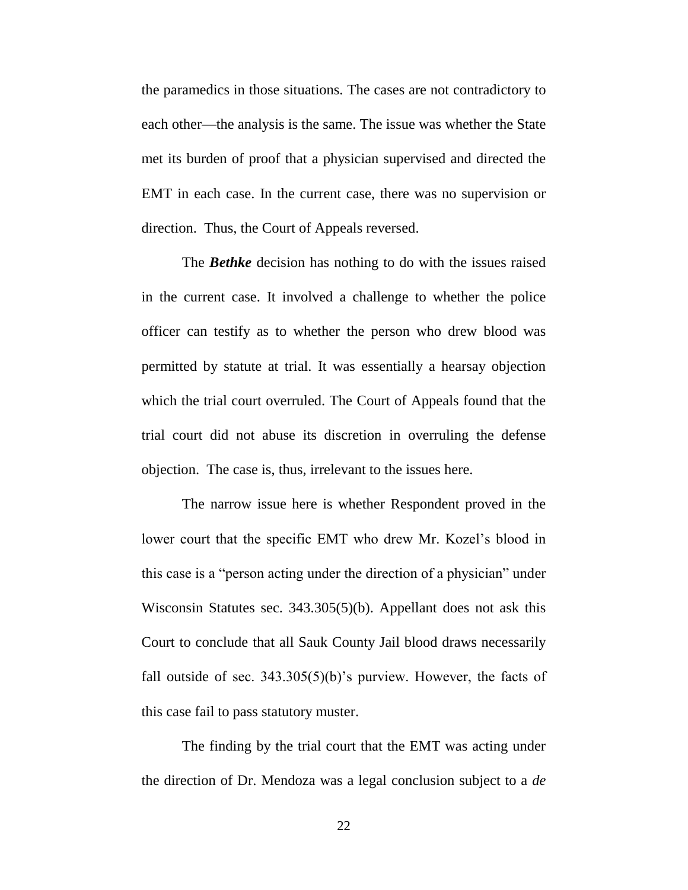the paramedics in those situations. The cases are not contradictory to each other—the analysis is the same. The issue was whether the State met its burden of proof that a physician supervised and directed the EMT in each case. In the current case, there was no supervision or direction. Thus, the Court of Appeals reversed.

The *Bethke* decision has nothing to do with the issues raised in the current case. It involved a challenge to whether the police officer can testify as to whether the person who drew blood was permitted by statute at trial. It was essentially a hearsay objection which the trial court overruled. The Court of Appeals found that the trial court did not abuse its discretion in overruling the defense objection. The case is, thus, irrelevant to the issues here.

The narrow issue here is whether Respondent proved in the lower court that the specific EMT who drew Mr. Kozel's blood in this case is a "person acting under the direction of a physician" under Wisconsin Statutes sec. 343.305(5)(b). Appellant does not ask this Court to conclude that all Sauk County Jail blood draws necessarily fall outside of sec.  $343.305(5)(b)$ 's purview. However, the facts of this case fail to pass statutory muster.

The finding by the trial court that the EMT was acting under the direction of Dr. Mendoza was a legal conclusion subject to a *de* 

22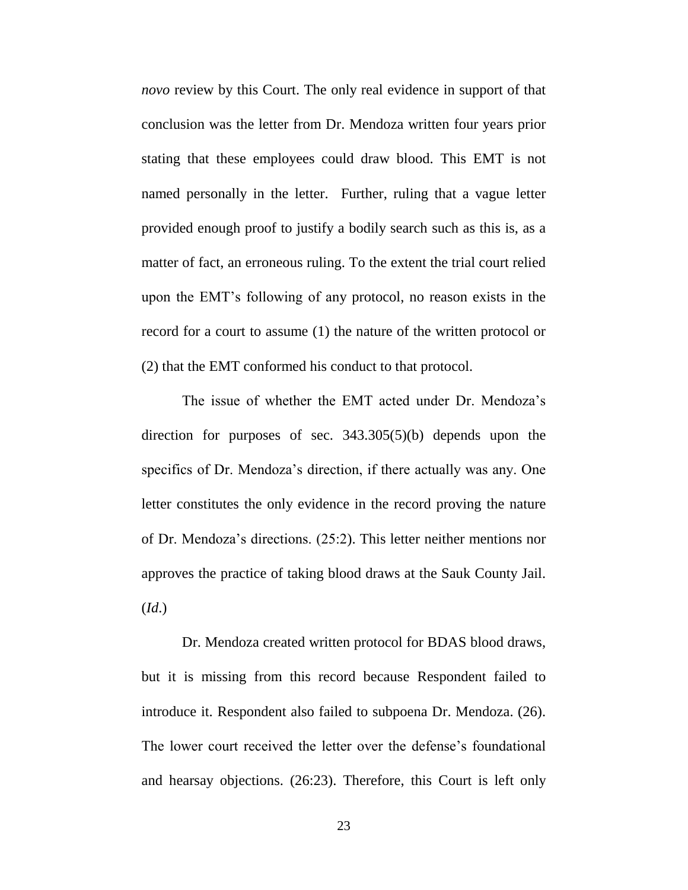*novo* review by this Court. The only real evidence in support of that conclusion was the letter from Dr. Mendoza written four years prior stating that these employees could draw blood. This EMT is not named personally in the letter. Further, ruling that a vague letter provided enough proof to justify a bodily search such as this is, as a matter of fact, an erroneous ruling. To the extent the trial court relied upon the EMT's following of any protocol, no reason exists in the record for a court to assume (1) the nature of the written protocol or (2) that the EMT conformed his conduct to that protocol.

The issue of whether the EMT acted under Dr. Mendoza's direction for purposes of sec. 343.305(5)(b) depends upon the specifics of Dr. Mendoza's direction, if there actually was any. One letter constitutes the only evidence in the record proving the nature of Dr. Mendoza's directions. (25:2). This letter neither mentions nor approves the practice of taking blood draws at the Sauk County Jail. (*Id*.)

Dr. Mendoza created written protocol for BDAS blood draws, but it is missing from this record because Respondent failed to introduce it. Respondent also failed to subpoena Dr. Mendoza. (26). The lower court received the letter over the defense's foundational and hearsay objections. (26:23). Therefore, this Court is left only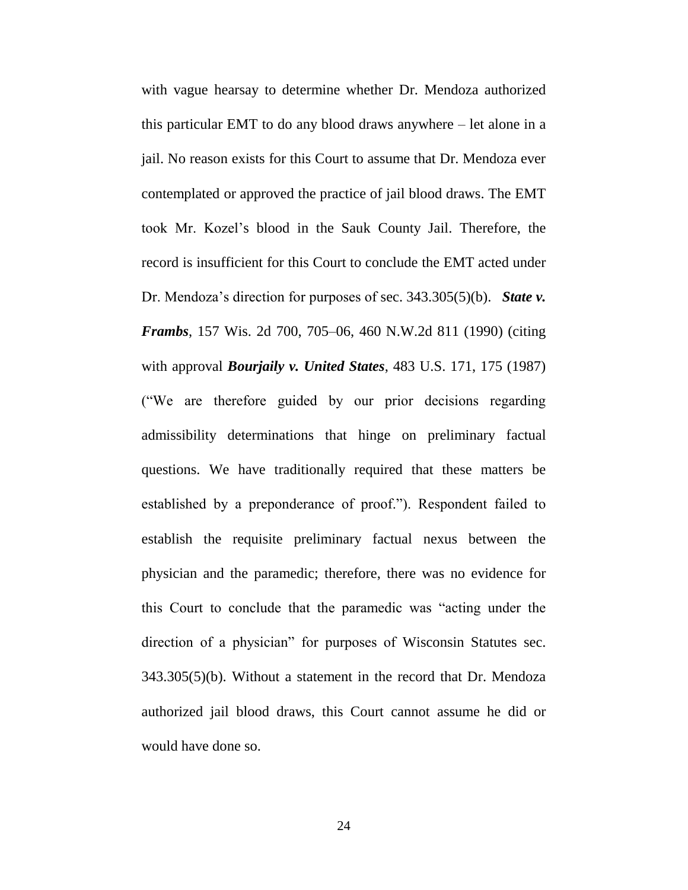with vague hearsay to determine whether Dr. Mendoza authorized this particular EMT to do any blood draws anywhere – let alone in a jail. No reason exists for this Court to assume that Dr. Mendoza ever contemplated or approved the practice of jail blood draws. The EMT took Mr. Kozel's blood in the Sauk County Jail. Therefore, the record is insufficient for this Court to conclude the EMT acted under Dr. Mendoza's direction for purposes of sec. 343.305(5)(b). *State v. Frambs*, 157 Wis. 2d 700, 705–06, 460 N.W.2d 811 (1990) (citing with approval *Bourjaily v. United States*, 483 U.S. 171, 175 (1987) ("We are therefore guided by our prior decisions regarding admissibility determinations that hinge on preliminary factual questions. We have traditionally required that these matters be established by a preponderance of proof."). Respondent failed to establish the requisite preliminary factual nexus between the physician and the paramedic; therefore, there was no evidence for this Court to conclude that the paramedic was "acting under the direction of a physician" for purposes of Wisconsin Statutes sec. 343.305(5)(b). Without a statement in the record that Dr. Mendoza authorized jail blood draws, this Court cannot assume he did or would have done so.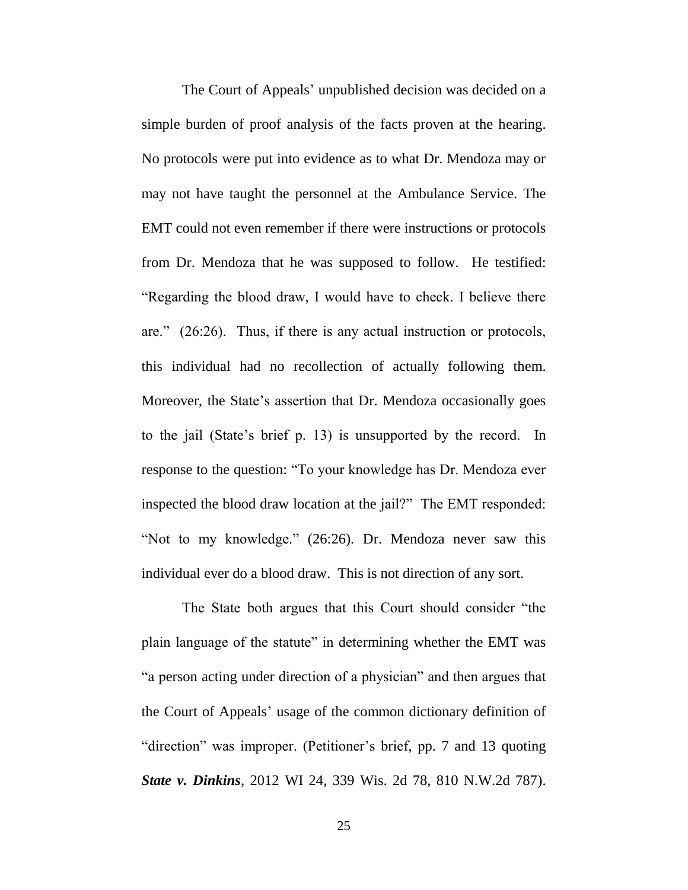The Court of Appeals' unpublished decision was decided on a simple burden of proof analysis of the facts proven at the hearing. No protocols were put into evidence as to what Dr. Mendoza may or may not have taught the personnel at the Ambulance Service. The EMT could not even remember if there were instructions or protocols from Dr. Mendoza that he was supposed to follow. He testified: "Regarding the blood draw, I would have to check. I believe there are." (26:26). Thus, if there is any actual instruction or protocols, this individual had no recollection of actually following them. Moreover, the State's assertion that Dr. Mendoza occasionally goes to the jail (State's brief p. 13) is unsupported by the record. In response to the question: "To your knowledge has Dr. Mendoza ever inspected the blood draw location at the jail?" The EMT responded: "Not to my knowledge." (26:26). Dr. Mendoza never saw this individual ever do a blood draw. This is not direction of any sort.

The State both argues that this Court should consider "the plain language of the statute" in determining whether the EMT was "a person acting under direction of a physician" and then argues that the Court of Appeals' usage of the common dictionary definition of "direction" was improper. (Petitioner's brief, pp. 7 and 13 quoting *State v. Dinkins*, 2012 WI 24, 339 Wis. 2d 78, 810 N.W.2d 787).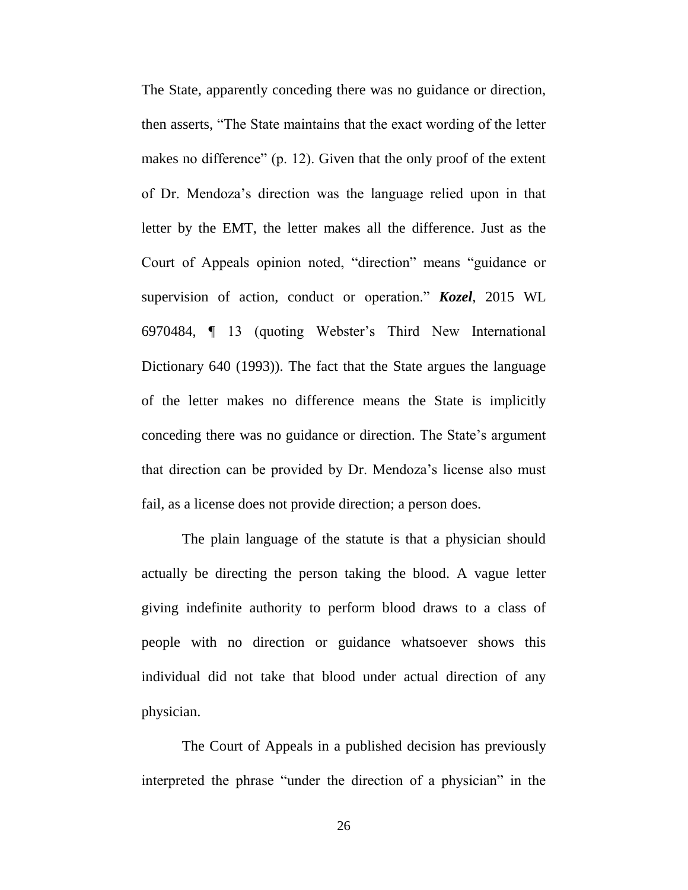The State, apparently conceding there was no guidance or direction, then asserts, "The State maintains that the exact wording of the letter makes no difference" (p. 12). Given that the only proof of the extent of Dr. Mendoza's direction was the language relied upon in that letter by the EMT, the letter makes all the difference. Just as the Court of Appeals opinion noted, "direction" means "guidance or supervision of action, conduct or operation." *Kozel*, 2015 WL 6970484, ¶ 13 (quoting Webster's Third New International Dictionary 640 (1993)). The fact that the State argues the language of the letter makes no difference means the State is implicitly conceding there was no guidance or direction. The State's argument that direction can be provided by Dr. Mendoza's license also must fail, as a license does not provide direction; a person does.

The plain language of the statute is that a physician should actually be directing the person taking the blood. A vague letter giving indefinite authority to perform blood draws to a class of people with no direction or guidance whatsoever shows this individual did not take that blood under actual direction of any physician.

The Court of Appeals in a published decision has previously interpreted the phrase "under the direction of a physician" in the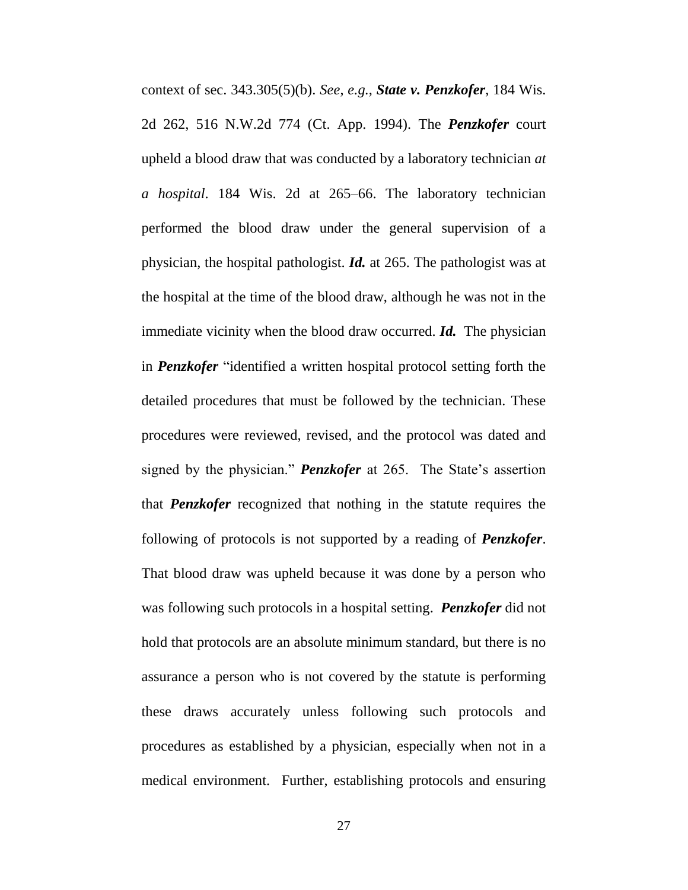context of sec. 343.305(5)(b). *See*, *e.g.*, *State v. Penzkofer*, 184 Wis. 2d 262, 516 N.W.2d 774 (Ct. App. 1994). The *Penzkofer* court upheld a blood draw that was conducted by a laboratory technician *at a hospital*. 184 Wis. 2d at 265–66. The laboratory technician performed the blood draw under the general supervision of a physician, the hospital pathologist. *Id.* at 265. The pathologist was at the hospital at the time of the blood draw, although he was not in the immediate vicinity when the blood draw occurred. *Id.* The physician in *Penzkofer* "identified a written hospital protocol setting forth the detailed procedures that must be followed by the technician. These procedures were reviewed, revised, and the protocol was dated and signed by the physician." *Penzkofer* at 265. The State's assertion that *Penzkofer* recognized that nothing in the statute requires the following of protocols is not supported by a reading of *Penzkofer*. That blood draw was upheld because it was done by a person who was following such protocols in a hospital setting. *Penzkofer* did not hold that protocols are an absolute minimum standard, but there is no assurance a person who is not covered by the statute is performing these draws accurately unless following such protocols and procedures as established by a physician, especially when not in a medical environment. Further, establishing protocols and ensuring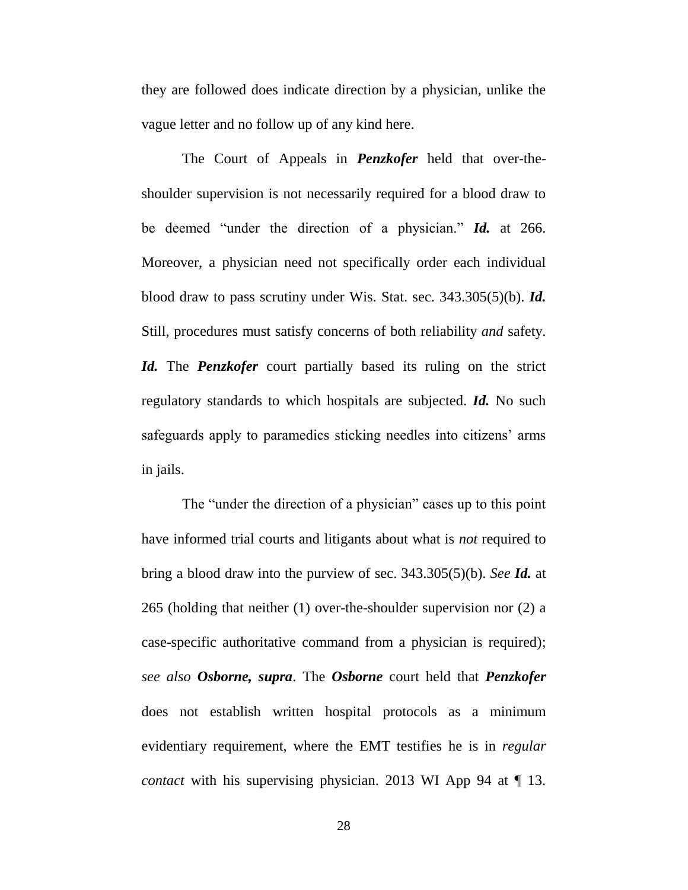they are followed does indicate direction by a physician, unlike the vague letter and no follow up of any kind here.

The Court of Appeals in *Penzkofer* held that over-theshoulder supervision is not necessarily required for a blood draw to be deemed "under the direction of a physician." *Id.* at 266. Moreover, a physician need not specifically order each individual blood draw to pass scrutiny under Wis. Stat. sec. 343.305(5)(b). *Id.* Still, procedures must satisfy concerns of both reliability *and* safety. *Id.* The *Penzkofer* court partially based its ruling on the strict regulatory standards to which hospitals are subjected. *Id.* No such safeguards apply to paramedics sticking needles into citizens' arms in jails.

The "under the direction of a physician" cases up to this point have informed trial courts and litigants about what is *not* required to bring a blood draw into the purview of sec. 343.305(5)(b). *See Id.* at 265 (holding that neither (1) over-the-shoulder supervision nor (2) a case-specific authoritative command from a physician is required); *see also Osborne, supra*. The *Osborne* court held that *Penzkofer*  does not establish written hospital protocols as a minimum evidentiary requirement, where the EMT testifies he is in *regular contact* with his supervising physician. 2013 WI App 94 at  $\P$  13.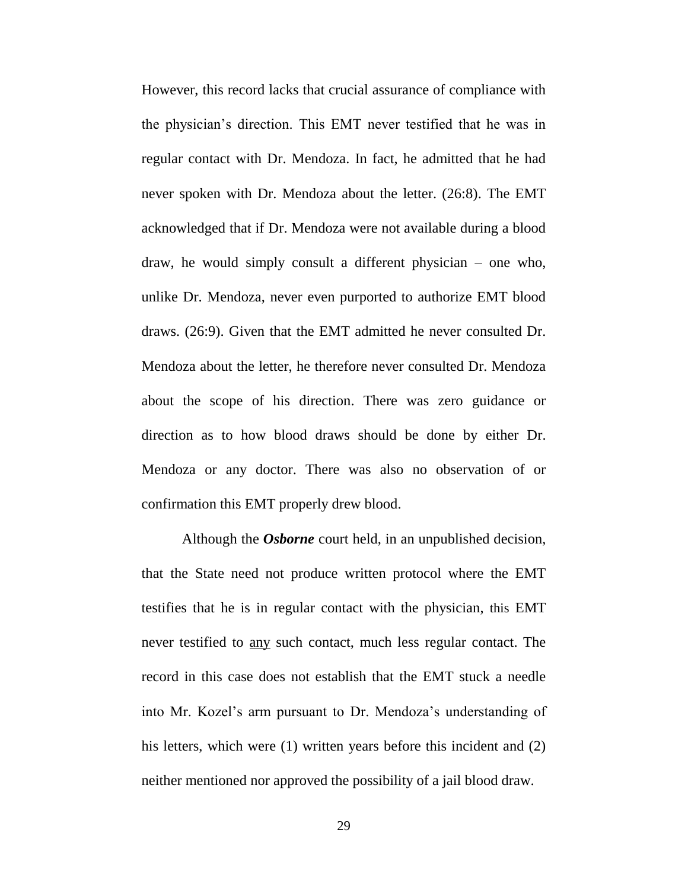However, this record lacks that crucial assurance of compliance with the physician's direction. This EMT never testified that he was in regular contact with Dr. Mendoza. In fact, he admitted that he had never spoken with Dr. Mendoza about the letter. (26:8). The EMT acknowledged that if Dr. Mendoza were not available during a blood draw, he would simply consult a different physician – one who, unlike Dr. Mendoza, never even purported to authorize EMT blood draws. (26:9). Given that the EMT admitted he never consulted Dr. Mendoza about the letter, he therefore never consulted Dr. Mendoza about the scope of his direction. There was zero guidance or direction as to how blood draws should be done by either Dr. Mendoza or any doctor. There was also no observation of or confirmation this EMT properly drew blood.

Although the *Osborne* court held, in an unpublished decision, that the State need not produce written protocol where the EMT testifies that he is in regular contact with the physician, this EMT never testified to any such contact, much less regular contact. The record in this case does not establish that the EMT stuck a needle into Mr. Kozel's arm pursuant to Dr. Mendoza's understanding of his letters, which were (1) written years before this incident and (2) neither mentioned nor approved the possibility of a jail blood draw.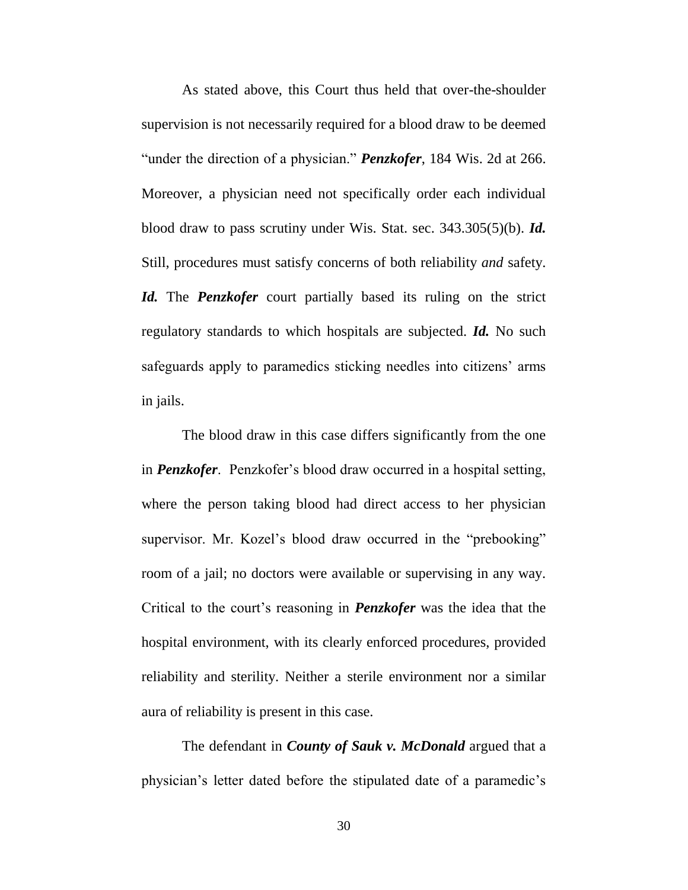As stated above, this Court thus held that over-the-shoulder supervision is not necessarily required for a blood draw to be deemed "under the direction of a physician." *Penzkofer*, 184 Wis. 2d at 266. Moreover, a physician need not specifically order each individual blood draw to pass scrutiny under Wis. Stat. sec. 343.305(5)(b). *Id.* Still, procedures must satisfy concerns of both reliability *and* safety. *Id.* The *Penzkofer* court partially based its ruling on the strict regulatory standards to which hospitals are subjected. *Id.* No such safeguards apply to paramedics sticking needles into citizens' arms in jails.

The blood draw in this case differs significantly from the one in *Penzkofer*. Penzkofer's blood draw occurred in a hospital setting, where the person taking blood had direct access to her physician supervisor. Mr. Kozel's blood draw occurred in the "prebooking" room of a jail; no doctors were available or supervising in any way. Critical to the court's reasoning in *Penzkofer* was the idea that the hospital environment, with its clearly enforced procedures, provided reliability and sterility. Neither a sterile environment nor a similar aura of reliability is present in this case.

The defendant in *County of Sauk v. McDonald* argued that a physician's letter dated before the stipulated date of a paramedic's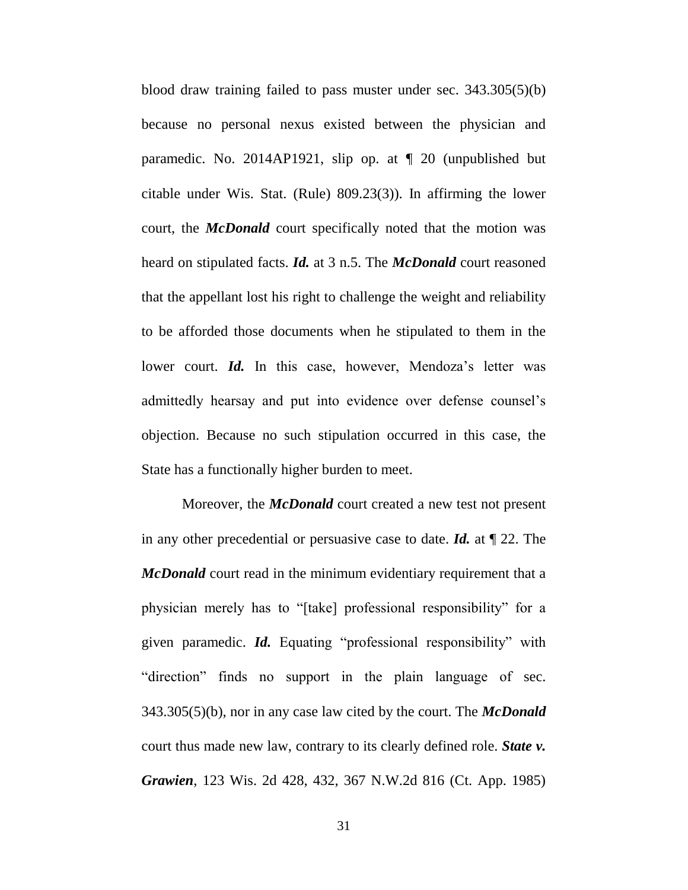blood draw training failed to pass muster under sec. 343.305(5)(b) because no personal nexus existed between the physician and paramedic. No. 2014AP1921, slip op. at ¶ 20 (unpublished but citable under Wis. Stat. (Rule) 809.23(3)). In affirming the lower court, the *McDonald* court specifically noted that the motion was heard on stipulated facts. *Id.* at 3 n.5. The *McDonald* court reasoned that the appellant lost his right to challenge the weight and reliability to be afforded those documents when he stipulated to them in the lower court. *Id.* In this case, however, Mendoza's letter was admittedly hearsay and put into evidence over defense counsel's objection. Because no such stipulation occurred in this case, the State has a functionally higher burden to meet.

Moreover, the *McDonald* court created a new test not present in any other precedential or persuasive case to date. *Id.* at ¶ 22. The *McDonald* court read in the minimum evidentiary requirement that a physician merely has to "[take] professional responsibility" for a given paramedic. *Id.* Equating "professional responsibility" with "direction" finds no support in the plain language of sec. 343.305(5)(b), nor in any case law cited by the court. The *McDonald*  court thus made new law, contrary to its clearly defined role. *State v. Grawien*, 123 Wis. 2d 428, 432, 367 N.W.2d 816 (Ct. App. 1985)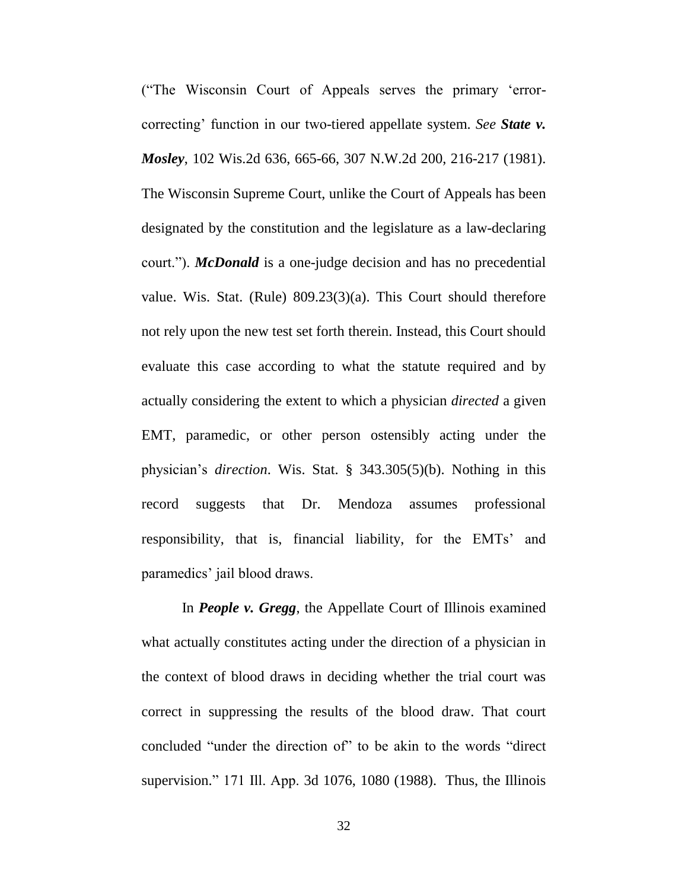("The Wisconsin Court of Appeals serves the primary 'errorcorrecting' function in our two-tiered appellate system. *See State v. Mosley*, 102 Wis.2d 636, 665-66, 307 N.W.2d 200, 216-217 (1981). The Wisconsin Supreme Court, unlike the Court of Appeals has been designated by the constitution and the legislature as a law-declaring court."). *McDonald* is a one-judge decision and has no precedential value. Wis. Stat. (Rule) 809.23(3)(a). This Court should therefore not rely upon the new test set forth therein. Instead, this Court should evaluate this case according to what the statute required and by actually considering the extent to which a physician *directed* a given EMT, paramedic, or other person ostensibly acting under the physician's *direction*. Wis. Stat. § 343.305(5)(b). Nothing in this record suggests that Dr. Mendoza assumes professional responsibility, that is, financial liability, for the EMTs' and paramedics' jail blood draws.

In *People v. Gregg*, the Appellate Court of Illinois examined what actually constitutes acting under the direction of a physician in the context of blood draws in deciding whether the trial court was correct in suppressing the results of the blood draw. That court concluded "under the direction of" to be akin to the words "direct supervision." 171 Ill. App. 3d 1076, 1080 (1988). Thus, the Illinois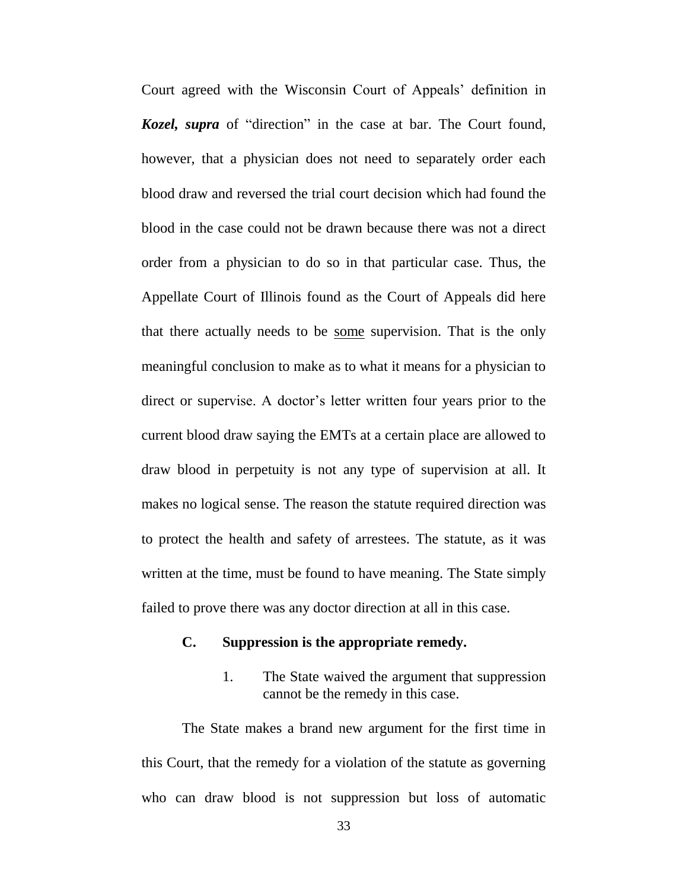Court agreed with the Wisconsin Court of Appeals' definition in *Kozel, supra* of "direction" in the case at bar. The Court found, however, that a physician does not need to separately order each blood draw and reversed the trial court decision which had found the blood in the case could not be drawn because there was not a direct order from a physician to do so in that particular case. Thus, the Appellate Court of Illinois found as the Court of Appeals did here that there actually needs to be some supervision. That is the only meaningful conclusion to make as to what it means for a physician to direct or supervise. A doctor's letter written four years prior to the current blood draw saying the EMTs at a certain place are allowed to draw blood in perpetuity is not any type of supervision at all. It makes no logical sense. The reason the statute required direction was to protect the health and safety of arrestees. The statute, as it was written at the time, must be found to have meaning. The State simply failed to prove there was any doctor direction at all in this case.

#### **C. Suppression is the appropriate remedy.**

1. The State waived the argument that suppression cannot be the remedy in this case.

The State makes a brand new argument for the first time in this Court, that the remedy for a violation of the statute as governing who can draw blood is not suppression but loss of automatic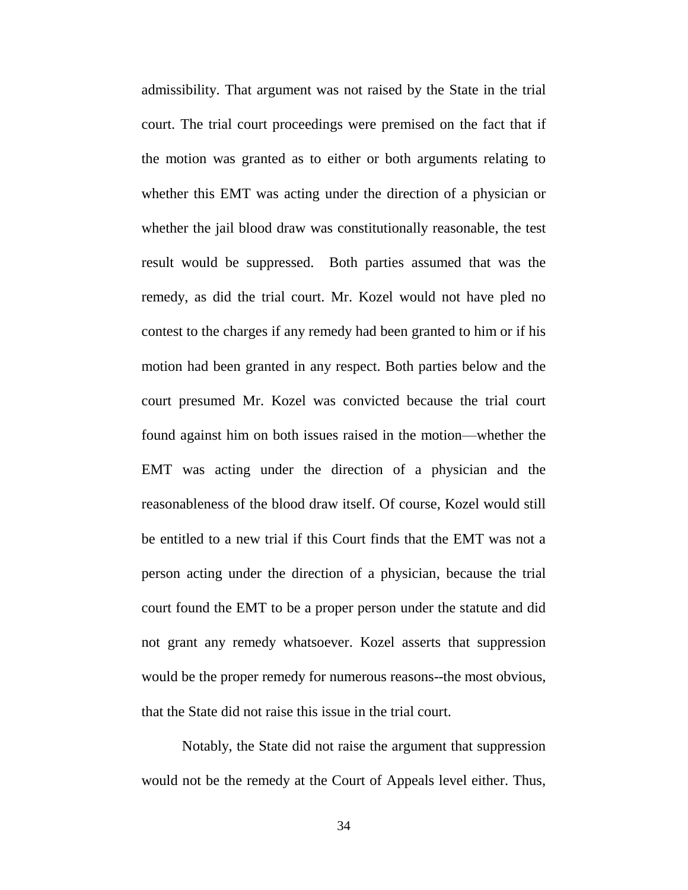admissibility. That argument was not raised by the State in the trial court. The trial court proceedings were premised on the fact that if the motion was granted as to either or both arguments relating to whether this EMT was acting under the direction of a physician or whether the jail blood draw was constitutionally reasonable, the test result would be suppressed. Both parties assumed that was the remedy, as did the trial court. Mr. Kozel would not have pled no contest to the charges if any remedy had been granted to him or if his motion had been granted in any respect. Both parties below and the court presumed Mr. Kozel was convicted because the trial court found against him on both issues raised in the motion—whether the EMT was acting under the direction of a physician and the reasonableness of the blood draw itself. Of course, Kozel would still be entitled to a new trial if this Court finds that the EMT was not a person acting under the direction of a physician, because the trial court found the EMT to be a proper person under the statute and did not grant any remedy whatsoever. Kozel asserts that suppression would be the proper remedy for numerous reasons--the most obvious, that the State did not raise this issue in the trial court.

Notably, the State did not raise the argument that suppression would not be the remedy at the Court of Appeals level either. Thus,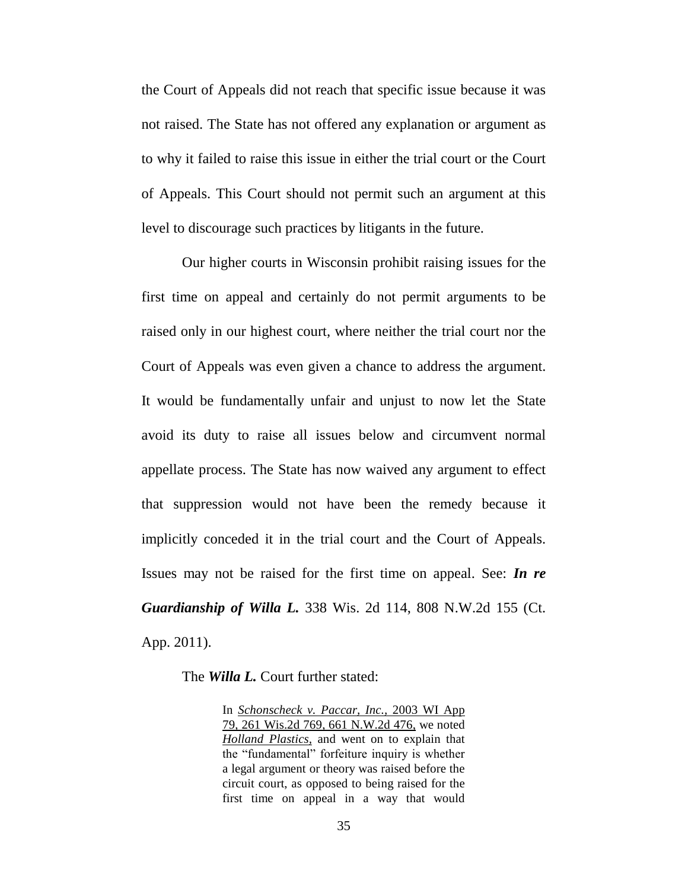the Court of Appeals did not reach that specific issue because it was not raised. The State has not offered any explanation or argument as to why it failed to raise this issue in either the trial court or the Court of Appeals. This Court should not permit such an argument at this level to discourage such practices by litigants in the future.

Our higher courts in Wisconsin prohibit raising issues for the first time on appeal and certainly do not permit arguments to be raised only in our highest court, where neither the trial court nor the Court of Appeals was even given a chance to address the argument. It would be fundamentally unfair and unjust to now let the State avoid its duty to raise all issues below and circumvent normal appellate process. The State has now waived any argument to effect that suppression would not have been the remedy because it implicitly conceded it in the trial court and the Court of Appeals. Issues may not be raised for the first time on appeal. See: *In re Guardianship of Willa L.* 338 Wis. 2d 114, 808 N.W.2d 155 (Ct. App. 2011).

The *Willa L.* Court further stated:

In *Schonscheck v. Paccar, Inc.,* 2003 WI App 79, 261 Wis.2d 769, 661 N.W.2d 476, we noted *Holland Plastics,* and went on to explain that the "fundamental" forfeiture inquiry is whether a legal argument or theory was raised before the circuit court, as opposed to being raised for the first time on appeal in a way that would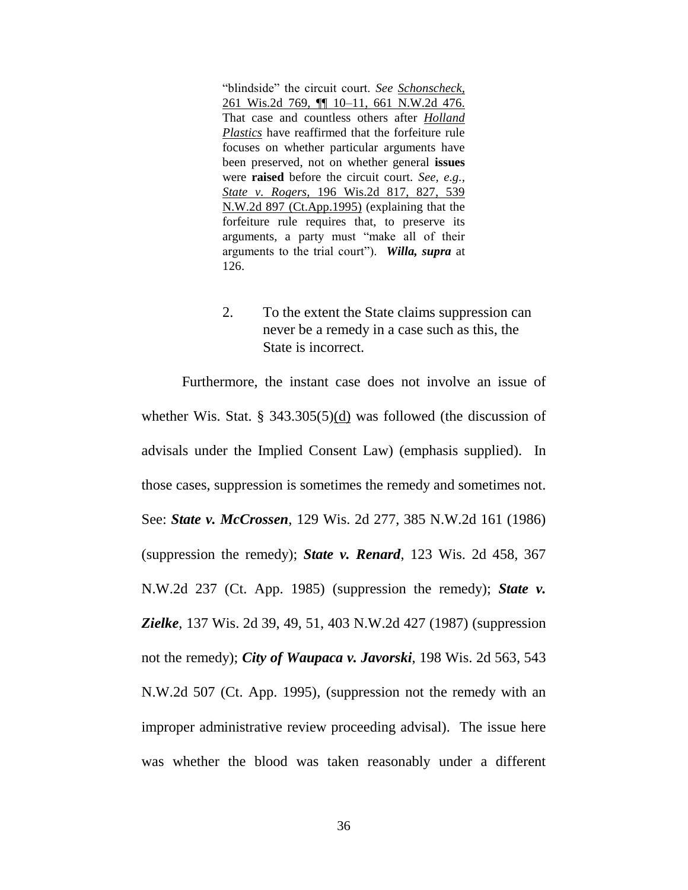"blindside" the circuit court. *See Schonscheck,* 261 Wis.2d 769, ¶¶ 10–11, 661 N.W.2d 476. That case and countless others after *Holland Plastics* have reaffirmed that the forfeiture rule focuses on whether particular arguments have been preserved, not on whether general **issues** were **raised** before the circuit court. *See, e.g., State v. Rogers,* 196 Wis.2d 817, 827, 539 N.W.2d 897 (Ct.App.1995) (explaining that the forfeiture rule requires that, to preserve its arguments, a party must "make all of their arguments to the trial court"). *Willa, supra* at 126.

2. To the extent the State claims suppression can never be a remedy in a case such as this, the State is incorrect.

Furthermore, the instant case does not involve an issue of whether Wis. Stat. § 343.305(5)(d) was followed (the discussion of advisals under the Implied Consent Law) (emphasis supplied). In those cases, suppression is sometimes the remedy and sometimes not. See: *State v. McCrossen*, 129 Wis. 2d 277, 385 N.W.2d 161 (1986) (suppression the remedy); *State v. Renard*, 123 Wis. 2d 458, 367 N.W.2d 237 (Ct. App. 1985) (suppression the remedy); *State v. Zielke*, 137 Wis. 2d 39, 49, 51, 403 N.W.2d 427 (1987) (suppression not the remedy); *City of Waupaca v. Javorski*, 198 Wis. 2d 563, 543 N.W.2d 507 (Ct. App. 1995), (suppression not the remedy with an improper administrative review proceeding advisal). The issue here was whether the blood was taken reasonably under a different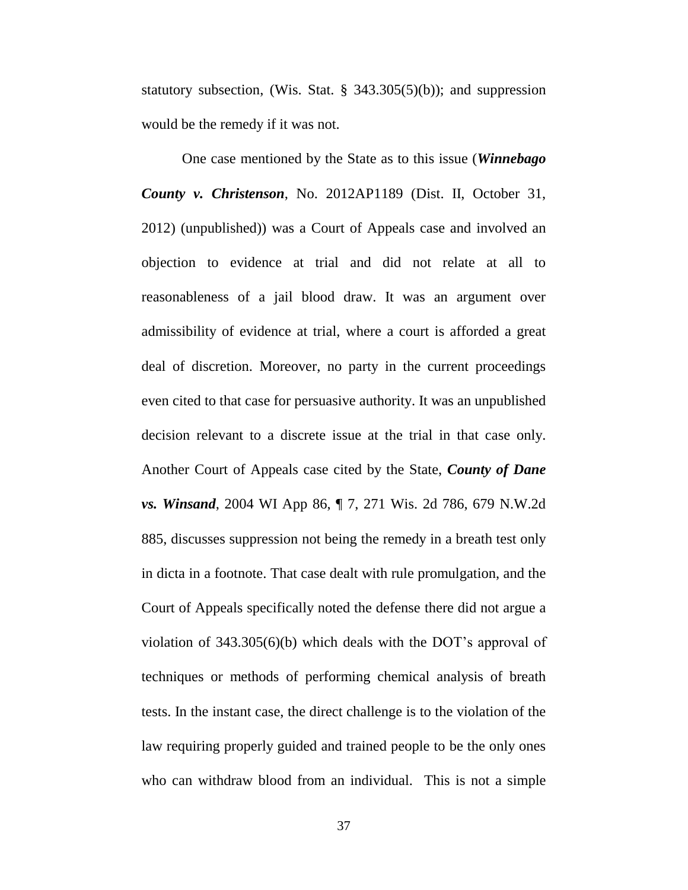statutory subsection, (Wis. Stat.  $\S$  343.305(5)(b)); and suppression would be the remedy if it was not.

One case mentioned by the State as to this issue (*Winnebago County v. Christenson*, No. 2012AP1189 (Dist. II, October 31, 2012) (unpublished)) was a Court of Appeals case and involved an objection to evidence at trial and did not relate at all to reasonableness of a jail blood draw. It was an argument over admissibility of evidence at trial, where a court is afforded a great deal of discretion. Moreover, no party in the current proceedings even cited to that case for persuasive authority. It was an unpublished decision relevant to a discrete issue at the trial in that case only. Another Court of Appeals case cited by the State, *County of Dane vs. Winsand*, 2004 WI App 86, ¶ 7, 271 Wis. 2d 786, 679 N.W.2d 885, discusses suppression not being the remedy in a breath test only in dicta in a footnote. That case dealt with rule promulgation, and the Court of Appeals specifically noted the defense there did not argue a violation of 343.305(6)(b) which deals with the DOT's approval of techniques or methods of performing chemical analysis of breath tests. In the instant case, the direct challenge is to the violation of the law requiring properly guided and trained people to be the only ones who can withdraw blood from an individual. This is not a simple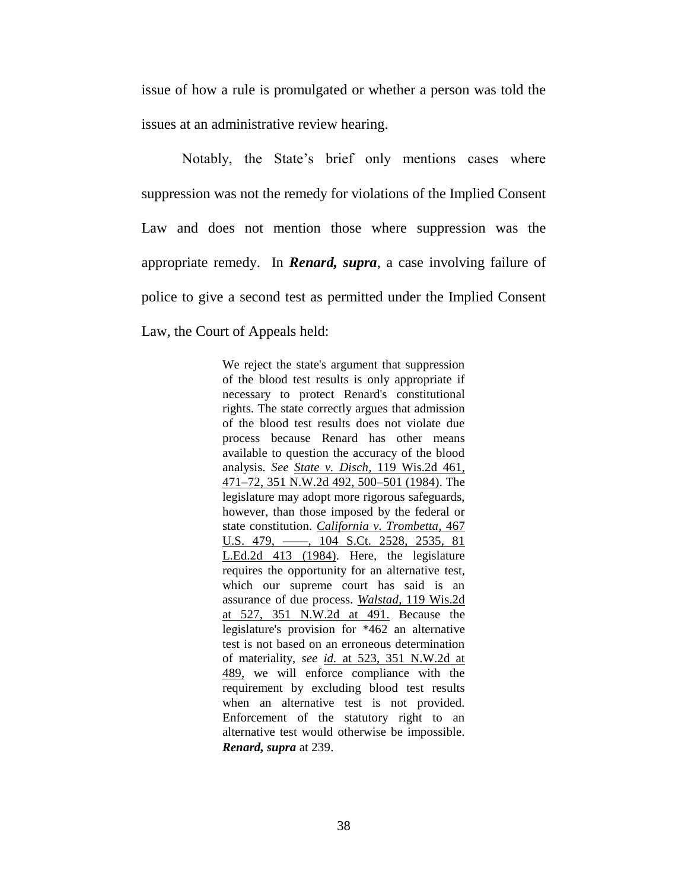issue of how a rule is promulgated or whether a person was told the issues at an administrative review hearing.

Notably, the State's brief only mentions cases where suppression was not the remedy for violations of the Implied Consent Law and does not mention those where suppression was the appropriate remedy. In *Renard, supra*, a case involving failure of police to give a second test as permitted under the Implied Consent Law, the Court of Appeals held:

> We reject the state's argument that suppression of the blood test results is only appropriate if necessary to protect Renard's constitutional rights. The state correctly argues that admission of the blood test results does not violate due process because Renard has other means available to question the accuracy of the blood analysis. *See State v. Disch,* 119 Wis.2d 461, 471–72, 351 N.W.2d 492, 500–501 (1984). The legislature may adopt more rigorous safeguards, however, than those imposed by the federal or state constitution. *California v. Trombetta,* 467 U.S. 479, ––––, 104 S.Ct. 2528, 2535, 81 L.Ed.2d 413 (1984). Here, the legislature requires the opportunity for an alternative test, which our supreme court has said is an assurance of due process. *Walstad,* 119 Wis.2d at 527, 351 N.W.2d at 491. Because the legislature's provision for \*462 an alternative test is not based on an erroneous determination of materiality, *see id.* at 523, 351 N.W.2d at 489, we will enforce compliance with the requirement by excluding blood test results when an alternative test is not provided. Enforcement of the statutory right to an alternative test would otherwise be impossible. *Renard, supra* at 239.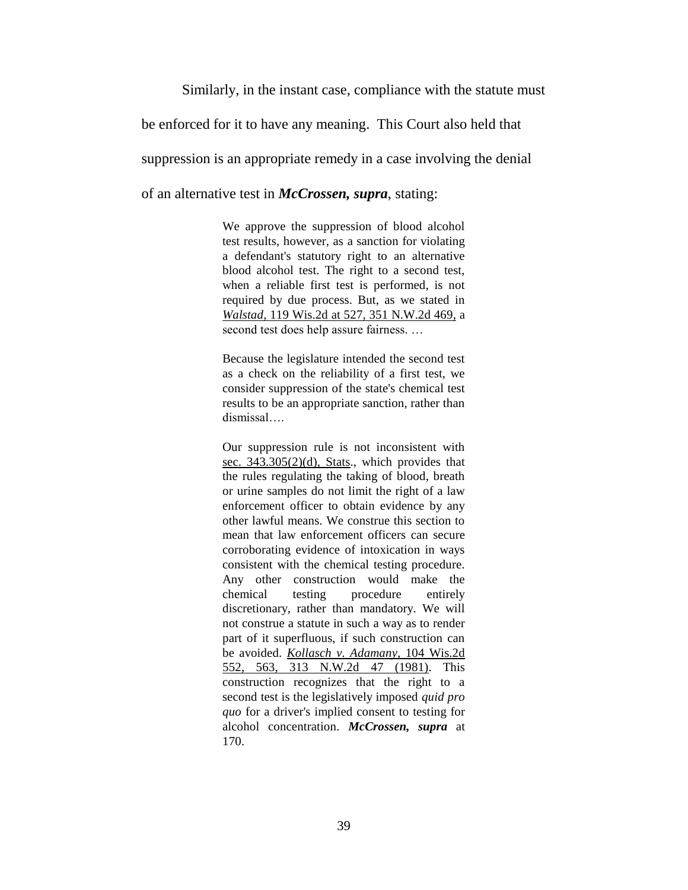#### Similarly, in the instant case, compliance with the statute must

be enforced for it to have any meaning. This Court also held that

suppression is an appropriate remedy in a case involving the denial

of an alternative test in *McCrossen, supra*, stating:

We approve the suppression of blood alcohol test results, however, as a sanction for violating a defendant's statutory right to an alternative blood alcohol test. The right to a second test, when a reliable first test is performed, is not required by due process. But, as we stated in *Walstad,* 119 Wis.2d at 527, 351 N.W.2d 469, a second test does help assure fairness. …

Because the legislature intended the second test as a check on the reliability of a first test, we consider suppression of the state's chemical test results to be an appropriate sanction, rather than dismissal….

Our suppression rule is not inconsistent with sec. 343.305(2)(d), Stats., which provides that the rules regulating the taking of blood, breath or urine samples do not limit the right of a law enforcement officer to obtain evidence by any other lawful means. We construe this section to mean that law enforcement officers can secure corroborating evidence of intoxication in ways consistent with the chemical testing procedure. Any other construction would make the chemical testing procedure entirely discretionary, rather than mandatory. We will not construe a statute in such a way as to render part of it superfluous, if such construction can be avoided. *Kollasch v. Adamany,* 104 Wis.2d 552, 563, 313 N.W.2d 47 (1981). This construction recognizes that the right to a second test is the legislatively imposed *quid pro quo* for a driver's implied consent to testing for alcohol concentration. *McCrossen, supra* at 170.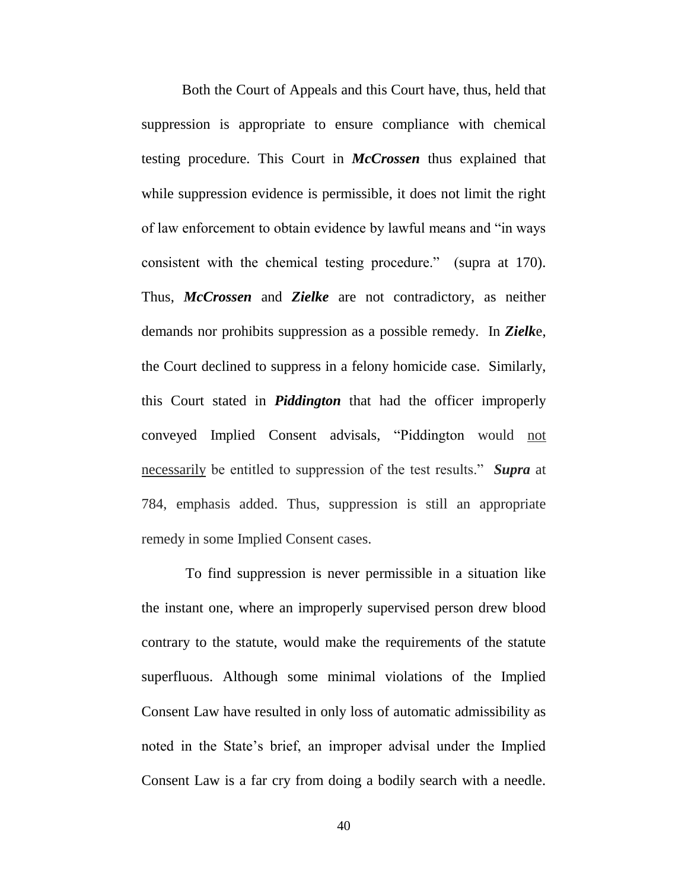Both the Court of Appeals and this Court have, thus, held that suppression is appropriate to ensure compliance with chemical testing procedure. This Court in *McCrossen* thus explained that while suppression evidence is permissible, it does not limit the right of law enforcement to obtain evidence by lawful means and "in ways consistent with the chemical testing procedure." (supra at 170). Thus, *McCrossen* and *Zielke* are not contradictory, as neither demands nor prohibits suppression as a possible remedy. In *Zielk*e, the Court declined to suppress in a felony homicide case. Similarly, this Court stated in *Piddington* that had the officer improperly conveyed Implied Consent advisals, "Piddington would not necessarily be entitled to suppression of the test results." *Supra* at 784, emphasis added. Thus, suppression is still an appropriate remedy in some Implied Consent cases.

To find suppression is never permissible in a situation like the instant one, where an improperly supervised person drew blood contrary to the statute, would make the requirements of the statute superfluous. Although some minimal violations of the Implied Consent Law have resulted in only loss of automatic admissibility as noted in the State's brief, an improper advisal under the Implied Consent Law is a far cry from doing a bodily search with a needle.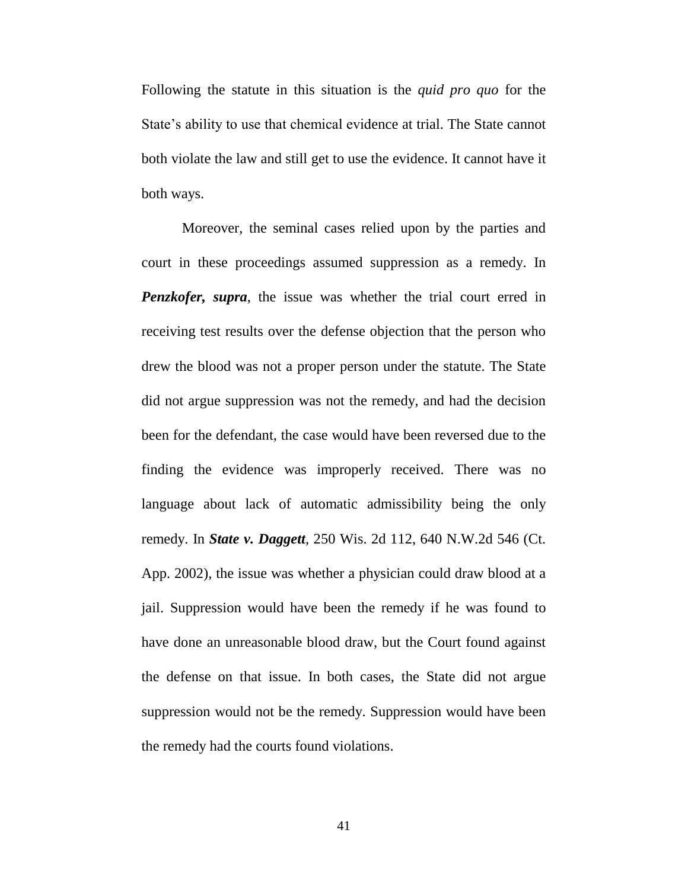Following the statute in this situation is the *quid pro quo* for the State's ability to use that chemical evidence at trial. The State cannot both violate the law and still get to use the evidence. It cannot have it both ways.

Moreover, the seminal cases relied upon by the parties and court in these proceedings assumed suppression as a remedy. In *Penzkofer, supra*, the issue was whether the trial court erred in receiving test results over the defense objection that the person who drew the blood was not a proper person under the statute. The State did not argue suppression was not the remedy, and had the decision been for the defendant, the case would have been reversed due to the finding the evidence was improperly received. There was no language about lack of automatic admissibility being the only remedy. In *State v. Daggett,* 250 Wis. 2d 112, 640 N.W.2d 546 (Ct. App. 2002), the issue was whether a physician could draw blood at a jail. Suppression would have been the remedy if he was found to have done an unreasonable blood draw, but the Court found against the defense on that issue. In both cases, the State did not argue suppression would not be the remedy. Suppression would have been the remedy had the courts found violations.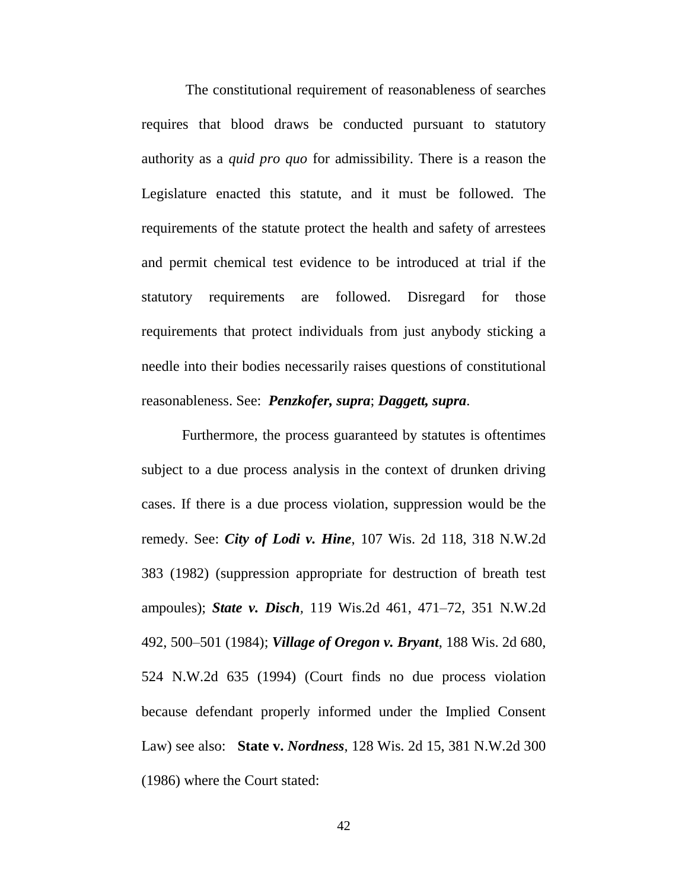The constitutional requirement of reasonableness of searches requires that blood draws be conducted pursuant to statutory authority as a *quid pro quo* for admissibility. There is a reason the Legislature enacted this statute, and it must be followed. The requirements of the statute protect the health and safety of arrestees and permit chemical test evidence to be introduced at trial if the statutory requirements are followed. Disregard for those requirements that protect individuals from just anybody sticking a needle into their bodies necessarily raises questions of constitutional reasonableness. See: *Penzkofer, supra*; *Daggett, supra*.

Furthermore, the process guaranteed by statutes is oftentimes subject to a due process analysis in the context of drunken driving cases. If there is a due process violation, suppression would be the remedy. See: *City of Lodi v. Hine*, 107 Wis. 2d 118, 318 N.W.2d 383 (1982) (suppression appropriate for destruction of breath test ampoules); *State v. Disch,* 119 Wis.2d 461, 471–72, 351 N.W.2d 492, 500–501 (1984); *Village of Oregon v. Bryant*, 188 Wis. 2d 680, 524 N.W.2d 635 (1994) (Court finds no due process violation because defendant properly informed under the Implied Consent Law) see also: **State v.** *Nordness*, 128 Wis. 2d 15, 381 N.W.2d 300 (1986) where the Court stated: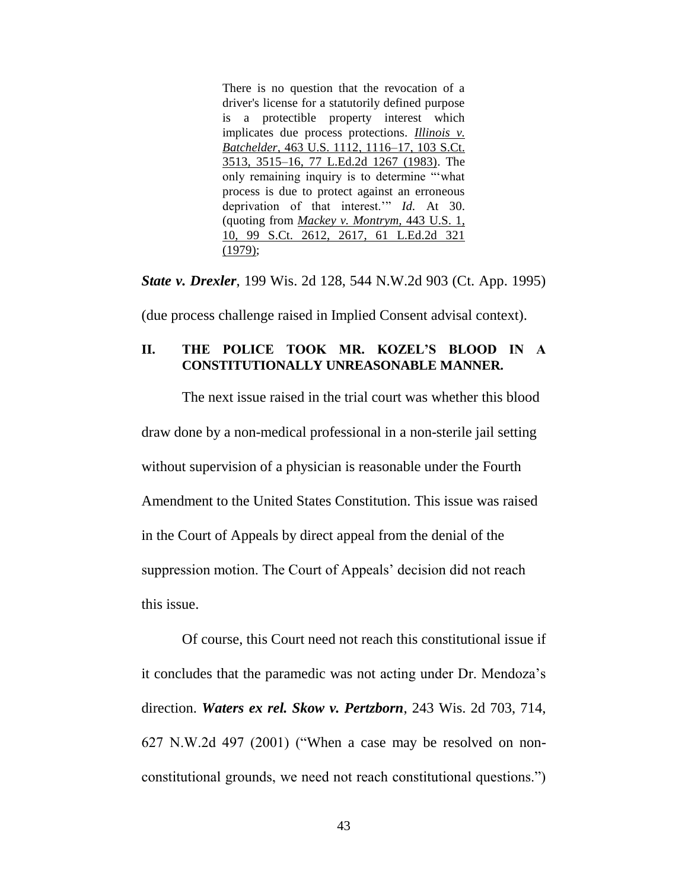There is no question that the revocation of a driver's license for a statutorily defined purpose is a protectible property interest which implicates due process protections. *Illinois v. Batchelder,* 463 U.S. 1112, 1116–17, 103 S.Ct. 3513, 3515–16, 77 L.Ed.2d 1267 (1983). The only remaining inquiry is to determine "'what process is due to protect against an erroneous deprivation of that interest.'" *Id.* At 30. (quoting from *Mackey v. Montrym,* 443 U.S. 1, 10, 99 S.Ct. 2612, 2617, 61 L.Ed.2d 321 (1979);

*State v. Drexler*, 199 Wis. 2d 128, 544 N.W.2d 903 (Ct. App. 1995)

(due process challenge raised in Implied Consent advisal context).

### **II. THE POLICE TOOK MR. KOZEL'S BLOOD IN A CONSTITUTIONALLY UNREASONABLE MANNER.**

The next issue raised in the trial court was whether this blood draw done by a non-medical professional in a non-sterile jail setting without supervision of a physician is reasonable under the Fourth Amendment to the United States Constitution. This issue was raised in the Court of Appeals by direct appeal from the denial of the suppression motion. The Court of Appeals' decision did not reach this issue.

Of course, this Court need not reach this constitutional issue if it concludes that the paramedic was not acting under Dr. Mendoza's direction. *Waters ex rel. Skow v. Pertzborn*, 243 Wis. 2d 703, 714, 627 N.W.2d 497 (2001) ("When a case may be resolved on nonconstitutional grounds, we need not reach constitutional questions.")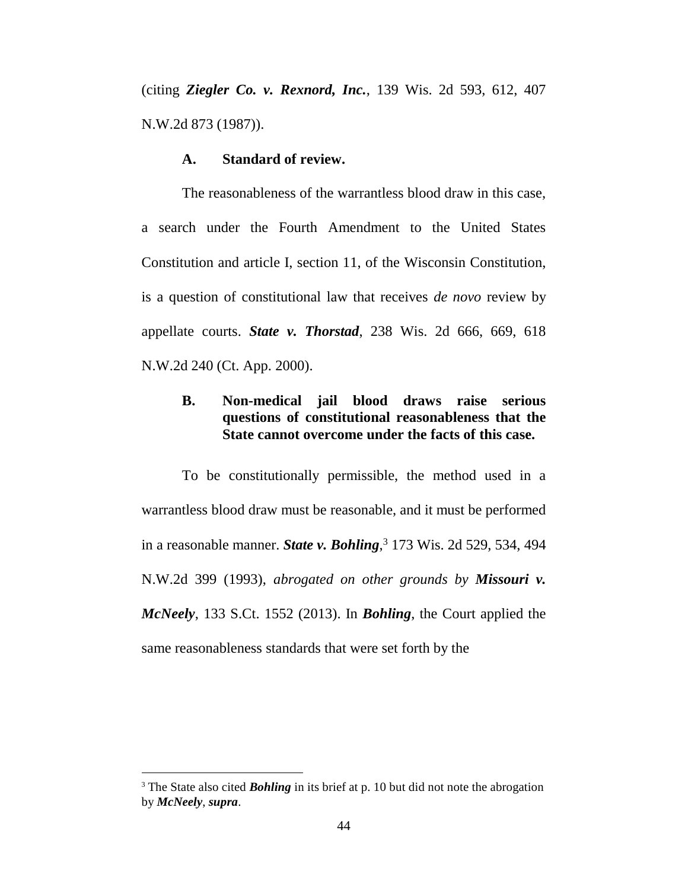(citing *Ziegler Co. v. Rexnord, Inc.*, 139 Wis. 2d 593, 612, 407 N.W.2d 873 (1987)).

#### **A. Standard of review.**

The reasonableness of the warrantless blood draw in this case, a search under the Fourth Amendment to the United States Constitution and article I, section 11, of the Wisconsin Constitution, is a question of constitutional law that receives *de novo* review by appellate courts. *State v. Thorstad*, 238 Wis. 2d 666, 669, 618 N.W.2d 240 (Ct. App. 2000).

### **B. Non-medical jail blood draws raise serious questions of constitutional reasonableness that the State cannot overcome under the facts of this case.**

To be constitutionally permissible, the method used in a warrantless blood draw must be reasonable, and it must be performed in a reasonable manner. *State v. Bohling*, <sup>3</sup> 173 Wis. 2d 529, 534, 494 N.W.2d 399 (1993), *abrogated on other grounds by Missouri v. McNeely*, 133 S.Ct. 1552 (2013). In *Bohling*, the Court applied the same reasonableness standards that were set forth by the

 $\overline{a}$ 

<sup>&</sup>lt;sup>3</sup> The State also cited **Bohling** in its brief at p. 10 but did not note the abrogation by *McNeely*, *supra*.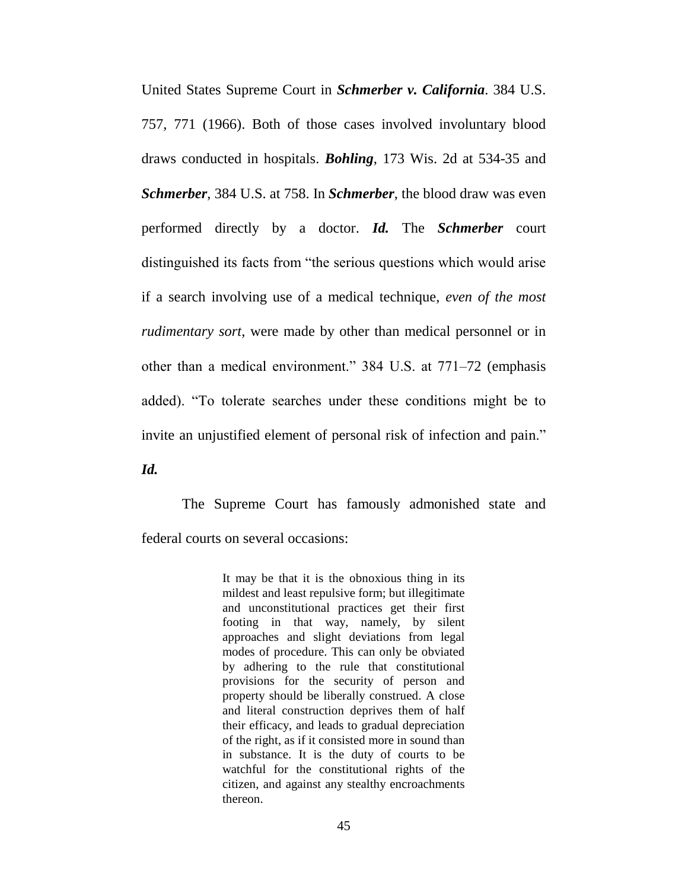United States Supreme Court in *Schmerber v. California*. 384 U.S. 757, 771 (1966). Both of those cases involved involuntary blood draws conducted in hospitals. *Bohling*, 173 Wis. 2d at 534-35 and *Schmerber*, 384 U.S. at 758. In *Schmerber*, the blood draw was even performed directly by a doctor. *Id.* The *Schmerber* court distinguished its facts from "the serious questions which would arise if a search involving use of a medical technique, *even of the most rudimentary sort*, were made by other than medical personnel or in other than a medical environment." 384 U.S. at 771–72 (emphasis added). "To tolerate searches under these conditions might be to invite an unjustified element of personal risk of infection and pain."

*Id.*

The Supreme Court has famously admonished state and federal courts on several occasions:

> It may be that it is the obnoxious thing in its mildest and least repulsive form; but illegitimate and unconstitutional practices get their first footing in that way, namely, by silent approaches and slight deviations from legal modes of procedure. This can only be obviated by adhering to the rule that constitutional provisions for the security of person and property should be liberally construed. A close and literal construction deprives them of half their efficacy, and leads to gradual depreciation of the right, as if it consisted more in sound than in substance. It is the duty of courts to be watchful for the constitutional rights of the citizen, and against any stealthy encroachments thereon.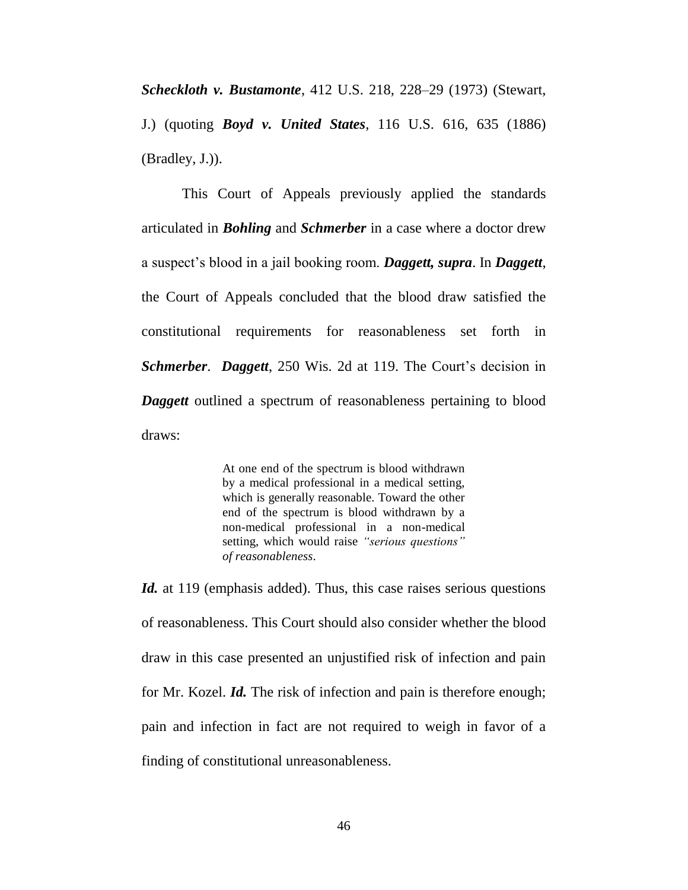*Scheckloth v. Bustamonte*, 412 U.S. 218, 228–29 (1973) (Stewart, J.) (quoting *Boyd v. United States*, 116 U.S. 616, 635 (1886) (Bradley, J.)).

This Court of Appeals previously applied the standards articulated in *Bohling* and *Schmerber* in a case where a doctor drew a suspect's blood in a jail booking room. *Daggett, supra*. In *Daggett*, the Court of Appeals concluded that the blood draw satisfied the constitutional requirements for reasonableness set forth in *Schmerber*. *Daggett*, 250 Wis. 2d at 119. The Court's decision in *Daggett* outlined a spectrum of reasonableness pertaining to blood draws:

> At one end of the spectrum is blood withdrawn by a medical professional in a medical setting, which is generally reasonable. Toward the other end of the spectrum is blood withdrawn by a non-medical professional in a non-medical setting, which would raise *"serious questions" of reasonableness*.

*Id.* at 119 (emphasis added). Thus, this case raises serious questions of reasonableness. This Court should also consider whether the blood draw in this case presented an unjustified risk of infection and pain for Mr. Kozel. *Id.* The risk of infection and pain is therefore enough; pain and infection in fact are not required to weigh in favor of a finding of constitutional unreasonableness.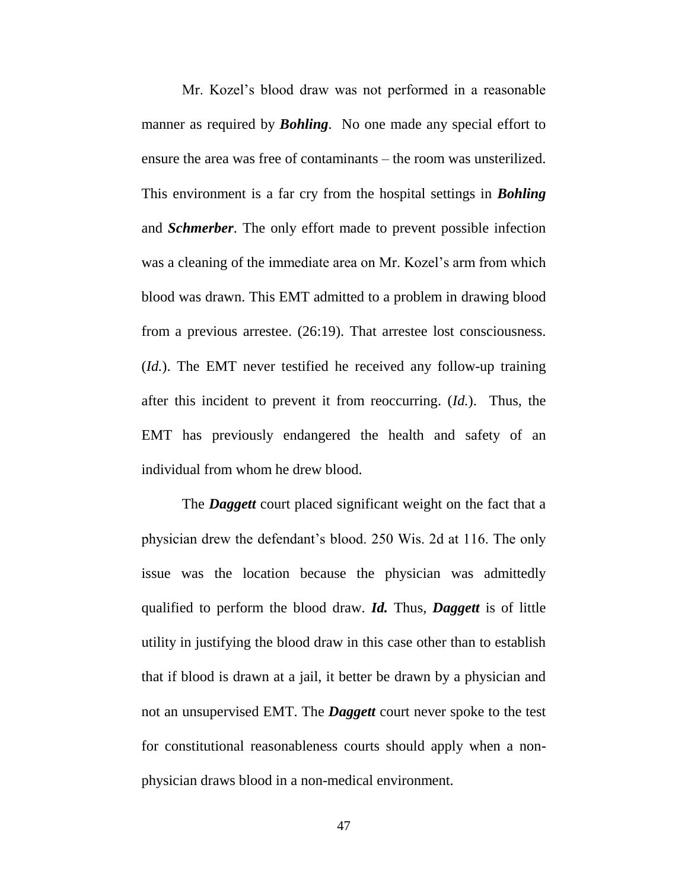Mr. Kozel's blood draw was not performed in a reasonable manner as required by *Bohling*. No one made any special effort to ensure the area was free of contaminants – the room was unsterilized. This environment is a far cry from the hospital settings in *Bohling* and *Schmerber*. The only effort made to prevent possible infection was a cleaning of the immediate area on Mr. Kozel's arm from which blood was drawn. This EMT admitted to a problem in drawing blood from a previous arrestee. (26:19). That arrestee lost consciousness. (*Id.*). The EMT never testified he received any follow-up training after this incident to prevent it from reoccurring. (*Id.*). Thus, the EMT has previously endangered the health and safety of an individual from whom he drew blood.

The *Daggett* court placed significant weight on the fact that a physician drew the defendant's blood. 250 Wis. 2d at 116. The only issue was the location because the physician was admittedly qualified to perform the blood draw. *Id.* Thus, *Daggett* is of little utility in justifying the blood draw in this case other than to establish that if blood is drawn at a jail, it better be drawn by a physician and not an unsupervised EMT. The *Daggett* court never spoke to the test for constitutional reasonableness courts should apply when a nonphysician draws blood in a non-medical environment.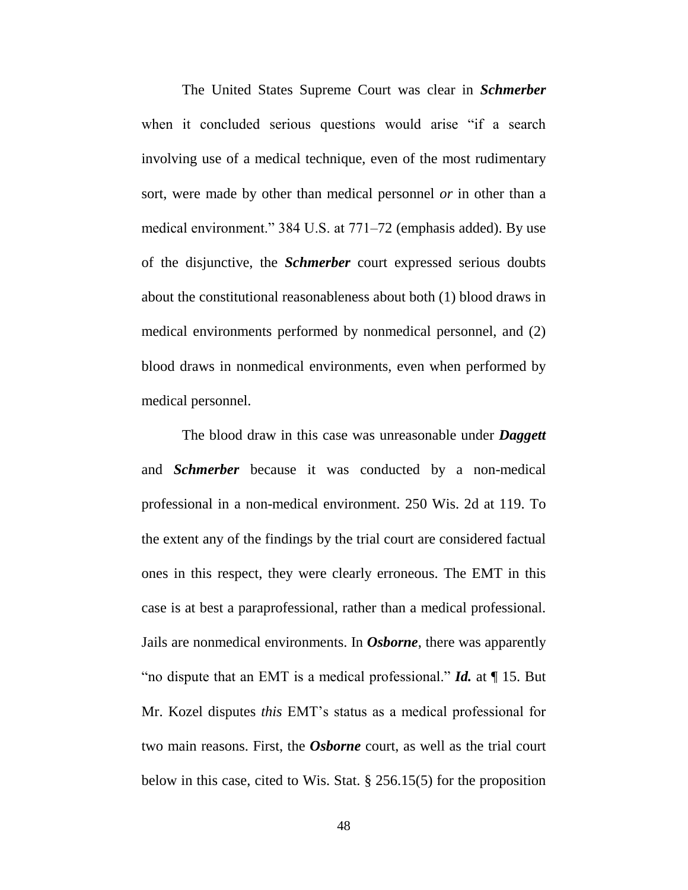The United States Supreme Court was clear in *Schmerber* when it concluded serious questions would arise "if a search involving use of a medical technique, even of the most rudimentary sort, were made by other than medical personnel *or* in other than a medical environment." 384 U.S. at 771–72 (emphasis added). By use of the disjunctive, the *Schmerber* court expressed serious doubts about the constitutional reasonableness about both (1) blood draws in medical environments performed by nonmedical personnel, and (2) blood draws in nonmedical environments, even when performed by medical personnel.

The blood draw in this case was unreasonable under *Daggett* and *Schmerber* because it was conducted by a non-medical professional in a non-medical environment. 250 Wis. 2d at 119. To the extent any of the findings by the trial court are considered factual ones in this respect, they were clearly erroneous. The EMT in this case is at best a paraprofessional, rather than a medical professional. Jails are nonmedical environments. In *Osborne*, there was apparently "no dispute that an EMT is a medical professional." *Id.* at ¶ 15. But Mr. Kozel disputes *this* EMT's status as a medical professional for two main reasons. First, the *Osborne* court, as well as the trial court below in this case, cited to Wis. Stat. § 256.15(5) for the proposition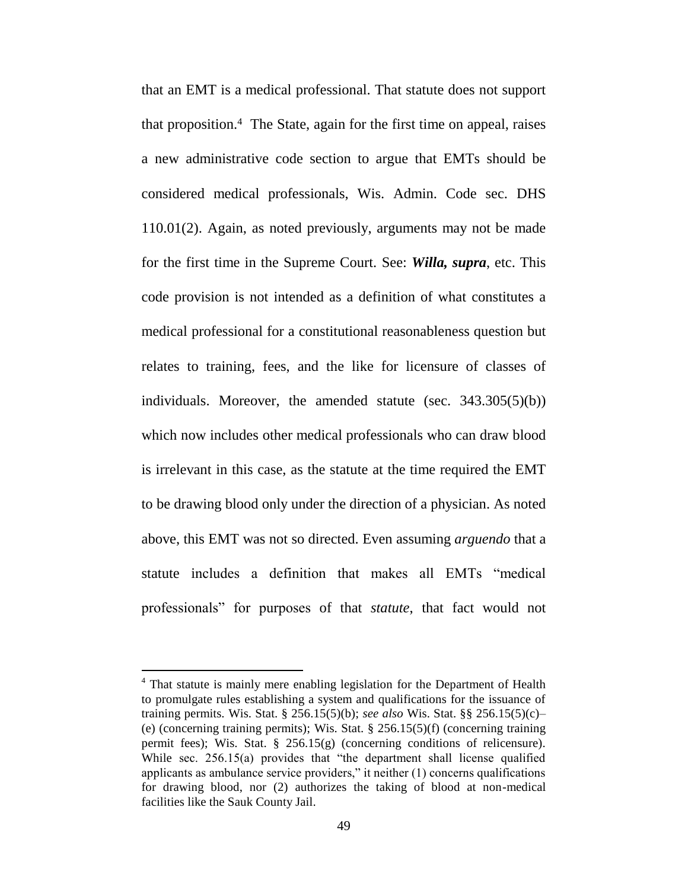that an EMT is a medical professional. That statute does not support that proposition.<sup>4</sup> The State, again for the first time on appeal, raises a new administrative code section to argue that EMTs should be considered medical professionals, Wis. Admin. Code sec. DHS 110.01(2). Again, as noted previously, arguments may not be made for the first time in the Supreme Court. See: *Willa, supra*, etc. This code provision is not intended as a definition of what constitutes a medical professional for a constitutional reasonableness question but relates to training, fees, and the like for licensure of classes of individuals. Moreover, the amended statute (sec. 343.305(5)(b)) which now includes other medical professionals who can draw blood is irrelevant in this case, as the statute at the time required the EMT to be drawing blood only under the direction of a physician. As noted above, this EMT was not so directed. Even assuming *arguendo* that a statute includes a definition that makes all EMTs "medical professionals" for purposes of that *statute*, that fact would not

 $\overline{a}$ 

<sup>&</sup>lt;sup>4</sup> That statute is mainly mere enabling legislation for the Department of Health to promulgate rules establishing a system and qualifications for the issuance of training permits. Wis. Stat. § 256.15(5)(b); *see also* Wis. Stat. §§ 256.15(5)(c)– (e) (concerning training permits); Wis. Stat. § 256.15(5)(f) (concerning training permit fees); Wis. Stat.  $\S$  256.15(g) (concerning conditions of relicensure). While sec. 256.15(a) provides that "the department shall license qualified applicants as ambulance service providers," it neither (1) concerns qualifications for drawing blood, nor (2) authorizes the taking of blood at non-medical facilities like the Sauk County Jail.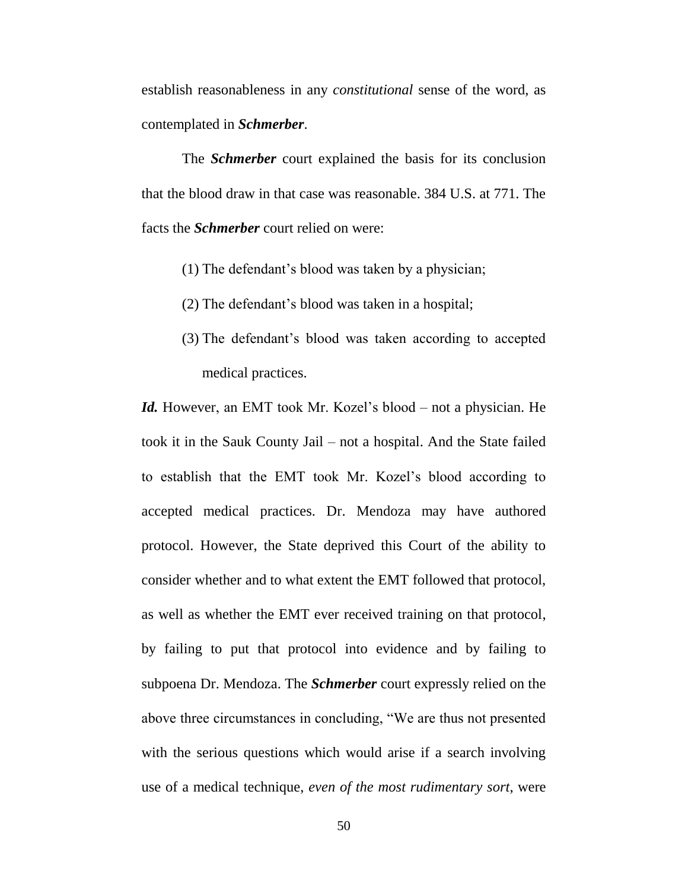establish reasonableness in any *constitutional* sense of the word, as contemplated in *Schmerber*.

The *Schmerber* court explained the basis for its conclusion that the blood draw in that case was reasonable. 384 U.S. at 771. The facts the *Schmerber* court relied on were:

- (1) The defendant's blood was taken by a physician;
- (2) The defendant's blood was taken in a hospital;
- (3) The defendant's blood was taken according to accepted medical practices.

*Id.* However, an EMT took Mr. Kozel's blood – not a physician. He took it in the Sauk County Jail – not a hospital. And the State failed to establish that the EMT took Mr. Kozel's blood according to accepted medical practices. Dr. Mendoza may have authored protocol. However, the State deprived this Court of the ability to consider whether and to what extent the EMT followed that protocol, as well as whether the EMT ever received training on that protocol, by failing to put that protocol into evidence and by failing to subpoena Dr. Mendoza. The *Schmerber* court expressly relied on the above three circumstances in concluding, "We are thus not presented with the serious questions which would arise if a search involving use of a medical technique, *even of the most rudimentary sort*, were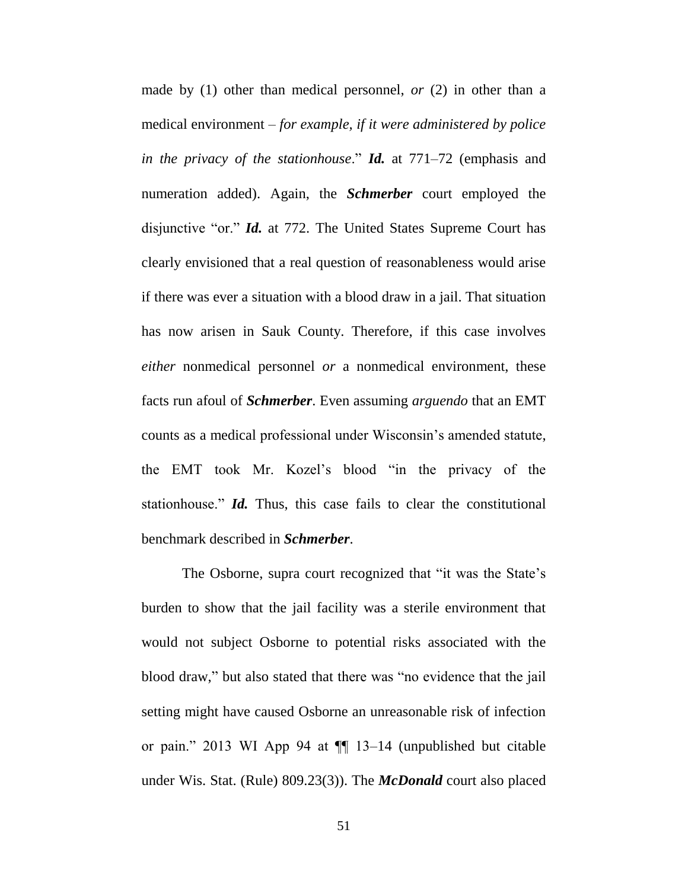made by (1) other than medical personnel, *or* (2) in other than a medical environment – *for example, if it were administered by police in the privacy of the stationhouse*." *Id.* at 771–72 (emphasis and numeration added). Again, the *Schmerber* court employed the disjunctive "or." *Id.* at 772. The United States Supreme Court has clearly envisioned that a real question of reasonableness would arise if there was ever a situation with a blood draw in a jail. That situation has now arisen in Sauk County. Therefore, if this case involves *either* nonmedical personnel *or* a nonmedical environment, these facts run afoul of *Schmerber*. Even assuming *arguendo* that an EMT counts as a medical professional under Wisconsin's amended statute, the EMT took Mr. Kozel's blood "in the privacy of the stationhouse." *Id.* Thus, this case fails to clear the constitutional benchmark described in *Schmerber*.

The Osborne, supra court recognized that "it was the State's burden to show that the jail facility was a sterile environment that would not subject Osborne to potential risks associated with the blood draw," but also stated that there was "no evidence that the jail setting might have caused Osborne an unreasonable risk of infection or pain." 2013 WI App 94 at ¶¶ 13–14 (unpublished but citable under Wis. Stat. (Rule) 809.23(3)). The *McDonald* court also placed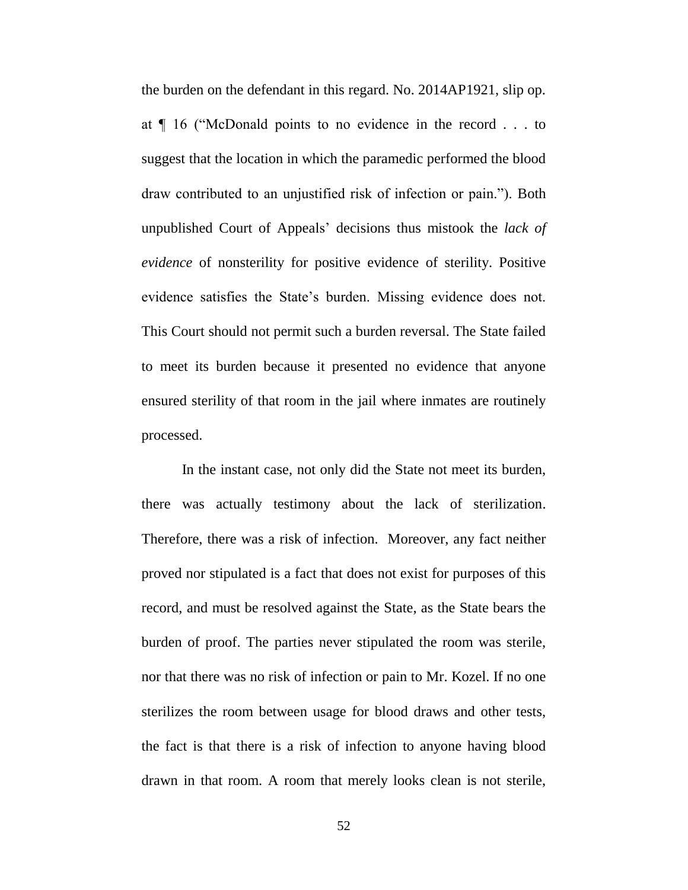the burden on the defendant in this regard. No. 2014AP1921, slip op. at ¶ 16 ("McDonald points to no evidence in the record . . . to suggest that the location in which the paramedic performed the blood draw contributed to an unjustified risk of infection or pain."). Both unpublished Court of Appeals' decisions thus mistook the *lack of evidence* of nonsterility for positive evidence of sterility. Positive evidence satisfies the State's burden. Missing evidence does not. This Court should not permit such a burden reversal. The State failed to meet its burden because it presented no evidence that anyone ensured sterility of that room in the jail where inmates are routinely processed.

In the instant case, not only did the State not meet its burden, there was actually testimony about the lack of sterilization. Therefore, there was a risk of infection. Moreover, any fact neither proved nor stipulated is a fact that does not exist for purposes of this record, and must be resolved against the State, as the State bears the burden of proof. The parties never stipulated the room was sterile, nor that there was no risk of infection or pain to Mr. Kozel. If no one sterilizes the room between usage for blood draws and other tests, the fact is that there is a risk of infection to anyone having blood drawn in that room. A room that merely looks clean is not sterile,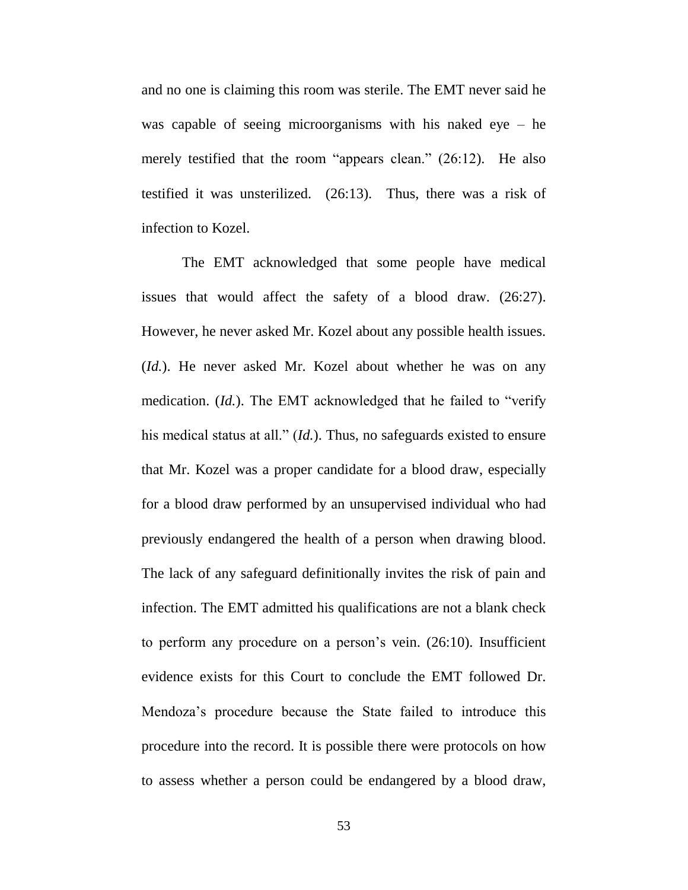and no one is claiming this room was sterile. The EMT never said he was capable of seeing microorganisms with his naked eye – he merely testified that the room "appears clean." (26:12). He also testified it was unsterilized. (26:13). Thus, there was a risk of infection to Kozel.

The EMT acknowledged that some people have medical issues that would affect the safety of a blood draw. (26:27). However, he never asked Mr. Kozel about any possible health issues. (*Id.*). He never asked Mr. Kozel about whether he was on any medication. (*Id.*). The EMT acknowledged that he failed to "verify his medical status at all." (*Id.*). Thus, no safeguards existed to ensure that Mr. Kozel was a proper candidate for a blood draw, especially for a blood draw performed by an unsupervised individual who had previously endangered the health of a person when drawing blood. The lack of any safeguard definitionally invites the risk of pain and infection. The EMT admitted his qualifications are not a blank check to perform any procedure on a person's vein. (26:10). Insufficient evidence exists for this Court to conclude the EMT followed Dr. Mendoza's procedure because the State failed to introduce this procedure into the record. It is possible there were protocols on how to assess whether a person could be endangered by a blood draw,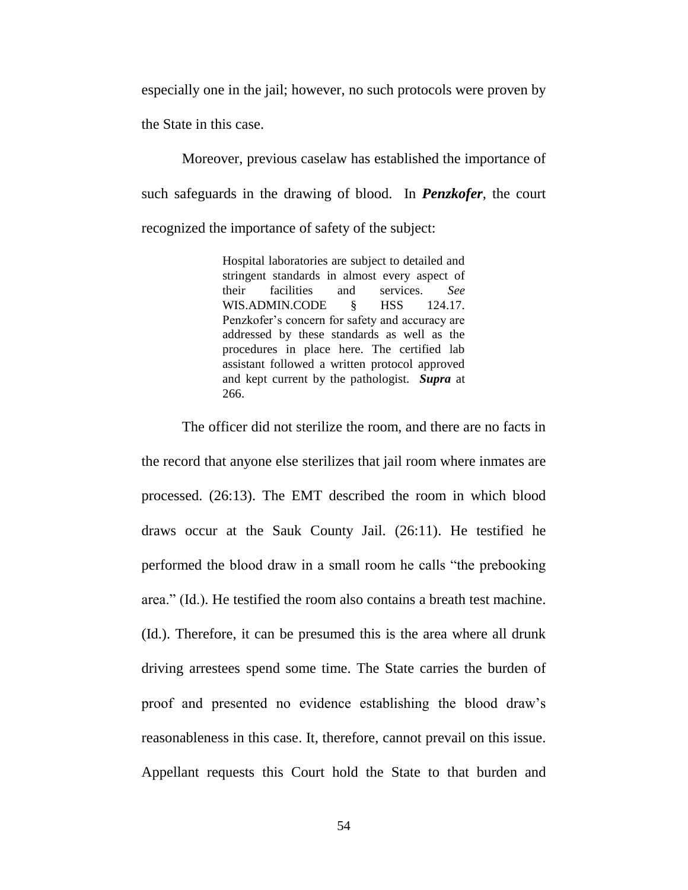especially one in the jail; however, no such protocols were proven by the State in this case.

Moreover, previous caselaw has established the importance of such safeguards in the drawing of blood. In *Penzkofer*, the court recognized the importance of safety of the subject:

> Hospital laboratories are subject to detailed and stringent standards in almost every aspect of their facilities and services. *See* WIS.ADMIN.CODE  $\&$  HSS 124.17. Penzkofer's concern for safety and accuracy are addressed by these standards as well as the procedures in place here. The certified lab assistant followed a written protocol approved and kept current by the pathologist. *Supra* at 266.

The officer did not sterilize the room, and there are no facts in the record that anyone else sterilizes that jail room where inmates are processed. (26:13). The EMT described the room in which blood draws occur at the Sauk County Jail. (26:11). He testified he performed the blood draw in a small room he calls "the prebooking area." (Id.). He testified the room also contains a breath test machine. (Id.). Therefore, it can be presumed this is the area where all drunk driving arrestees spend some time. The State carries the burden of proof and presented no evidence establishing the blood draw's reasonableness in this case. It, therefore, cannot prevail on this issue. Appellant requests this Court hold the State to that burden and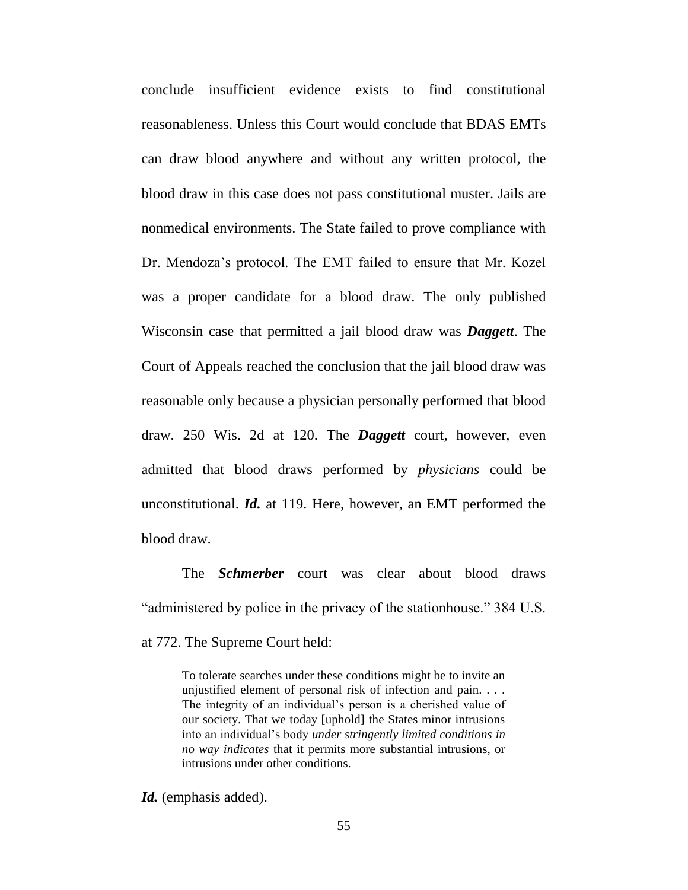conclude insufficient evidence exists to find constitutional reasonableness. Unless this Court would conclude that BDAS EMTs can draw blood anywhere and without any written protocol, the blood draw in this case does not pass constitutional muster. Jails are nonmedical environments. The State failed to prove compliance with Dr. Mendoza's protocol. The EMT failed to ensure that Mr. Kozel was a proper candidate for a blood draw. The only published Wisconsin case that permitted a jail blood draw was *Daggett*. The Court of Appeals reached the conclusion that the jail blood draw was reasonable only because a physician personally performed that blood draw. 250 Wis. 2d at 120. The *Daggett* court, however, even admitted that blood draws performed by *physicians* could be unconstitutional. *Id.* at 119. Here, however, an EMT performed the blood draw.

The *Schmerber* court was clear about blood draws "administered by police in the privacy of the stationhouse." 384 U.S. at 772. The Supreme Court held:

To tolerate searches under these conditions might be to invite an unjustified element of personal risk of infection and pain. . . . The integrity of an individual's person is a cherished value of our society. That we today [uphold] the States minor intrusions into an individual's body *under stringently limited conditions in no way indicates* that it permits more substantial intrusions, or intrusions under other conditions.

Id. (emphasis added).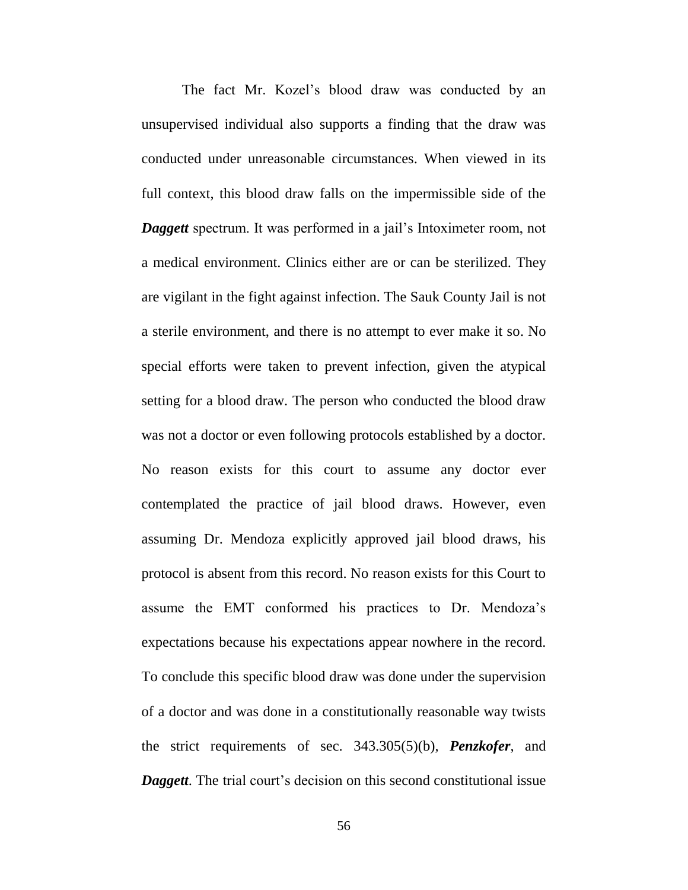The fact Mr. Kozel's blood draw was conducted by an unsupervised individual also supports a finding that the draw was conducted under unreasonable circumstances. When viewed in its full context, this blood draw falls on the impermissible side of the *Daggett* spectrum. It was performed in a jail's Intoximeter room, not a medical environment. Clinics either are or can be sterilized. They are vigilant in the fight against infection. The Sauk County Jail is not a sterile environment, and there is no attempt to ever make it so. No special efforts were taken to prevent infection, given the atypical setting for a blood draw. The person who conducted the blood draw was not a doctor or even following protocols established by a doctor. No reason exists for this court to assume any doctor ever contemplated the practice of jail blood draws. However, even assuming Dr. Mendoza explicitly approved jail blood draws, his protocol is absent from this record. No reason exists for this Court to assume the EMT conformed his practices to Dr. Mendoza's expectations because his expectations appear nowhere in the record. To conclude this specific blood draw was done under the supervision of a doctor and was done in a constitutionally reasonable way twists the strict requirements of sec. 343.305(5)(b), *Penzkofer*, and *Daggett*. The trial court's decision on this second constitutional issue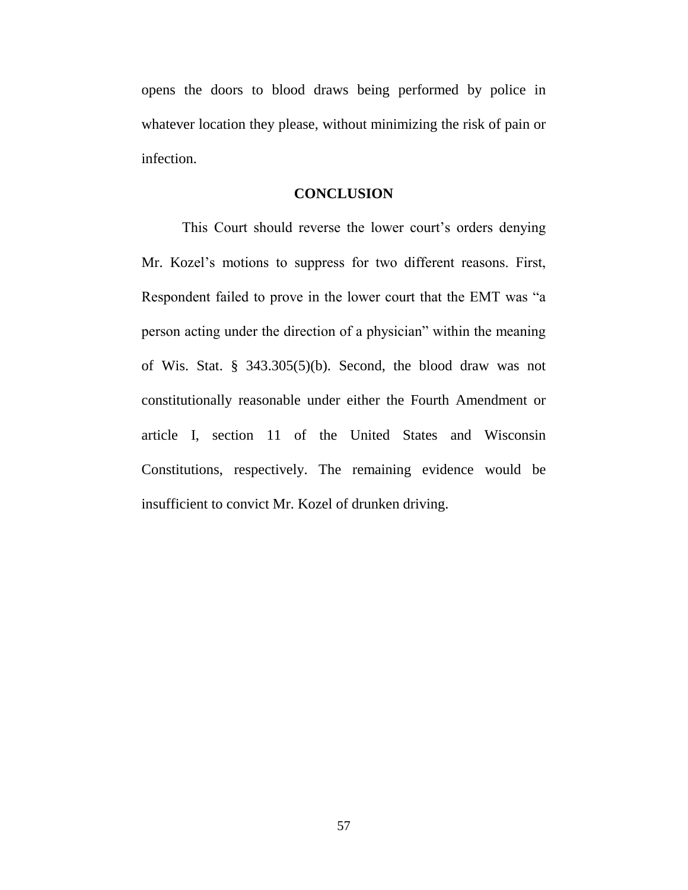opens the doors to blood draws being performed by police in whatever location they please, without minimizing the risk of pain or infection.

### **CONCLUSION**

This Court should reverse the lower court's orders denying Mr. Kozel's motions to suppress for two different reasons. First, Respondent failed to prove in the lower court that the EMT was "a person acting under the direction of a physician" within the meaning of Wis. Stat. § 343.305(5)(b). Second, the blood draw was not constitutionally reasonable under either the Fourth Amendment or article I, section 11 of the United States and Wisconsin Constitutions, respectively. The remaining evidence would be insufficient to convict Mr. Kozel of drunken driving.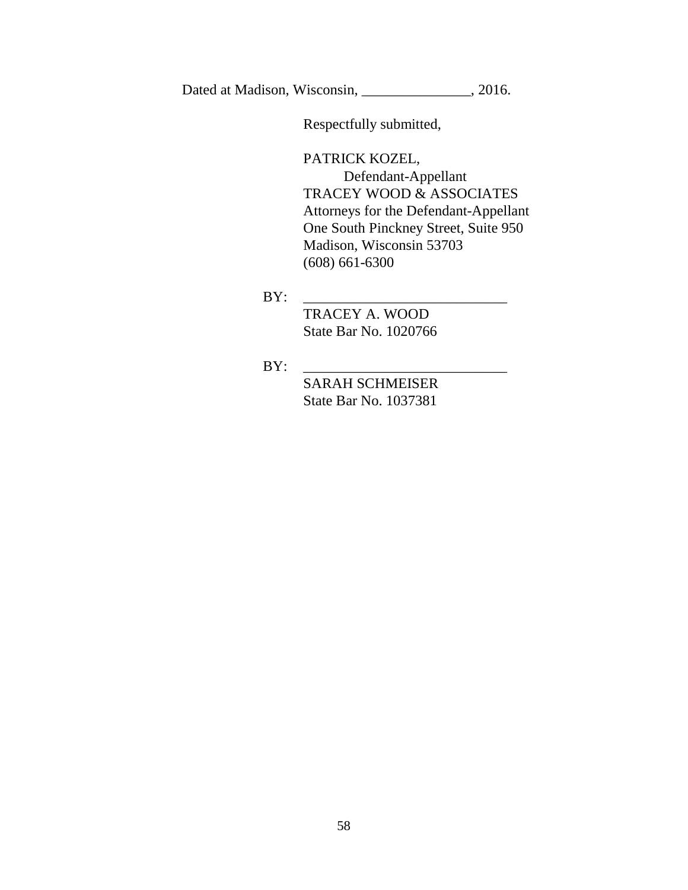Dated at Madison, Wisconsin, 2016.

Respectfully submitted,

PATRICK KOZEL,

Defendant-Appellant TRACEY WOOD & ASSOCIATES Attorneys for the Defendant-Appellant One South Pinckney Street, Suite 950 Madison, Wisconsin 53703 (608) 661-6300

BY: \_\_\_\_\_\_\_\_\_\_\_\_\_\_\_\_\_\_\_\_\_\_\_\_\_\_\_\_

TRACEY A. WOOD State Bar No. 1020766

BY: \_\_\_\_\_\_\_\_\_\_\_\_\_\_\_\_\_\_\_\_\_\_\_\_\_\_\_\_

SARAH SCHMEISER State Bar No. 1037381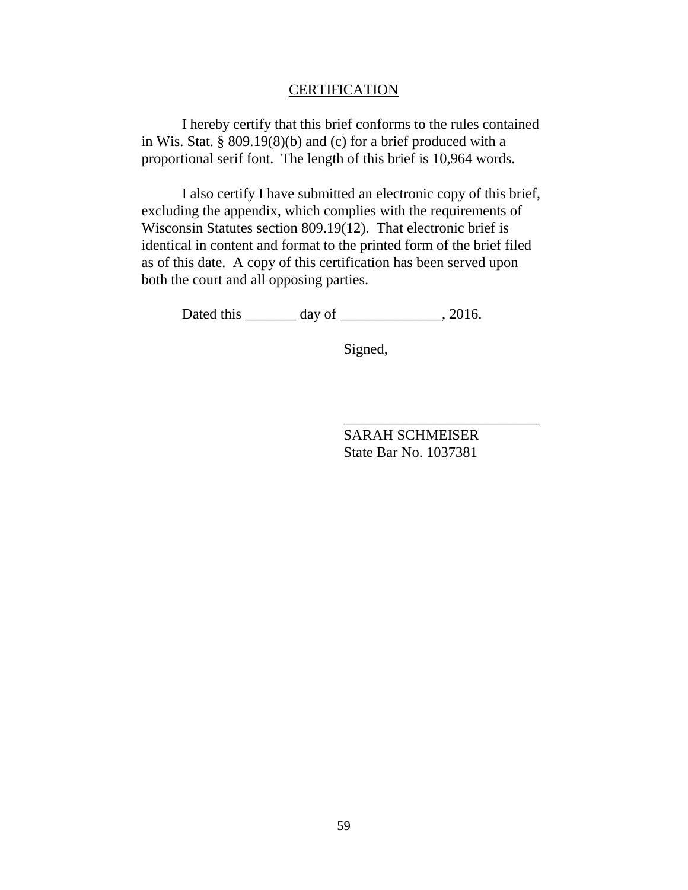#### **CERTIFICATION**

I hereby certify that this brief conforms to the rules contained in Wis. Stat. § 809.19(8)(b) and (c) for a brief produced with a proportional serif font. The length of this brief is 10,964 words.

I also certify I have submitted an electronic copy of this brief, excluding the appendix, which complies with the requirements of Wisconsin Statutes section 809.19(12). That electronic brief is identical in content and format to the printed form of the brief filed as of this date. A copy of this certification has been served upon both the court and all opposing parties.

Dated this \_\_\_\_\_\_\_\_ day of \_\_\_\_\_\_\_\_\_\_\_\_\_, 2016.

Signed,

SARAH SCHMEISER State Bar No. 1037381

\_\_\_\_\_\_\_\_\_\_\_\_\_\_\_\_\_\_\_\_\_\_\_\_\_\_\_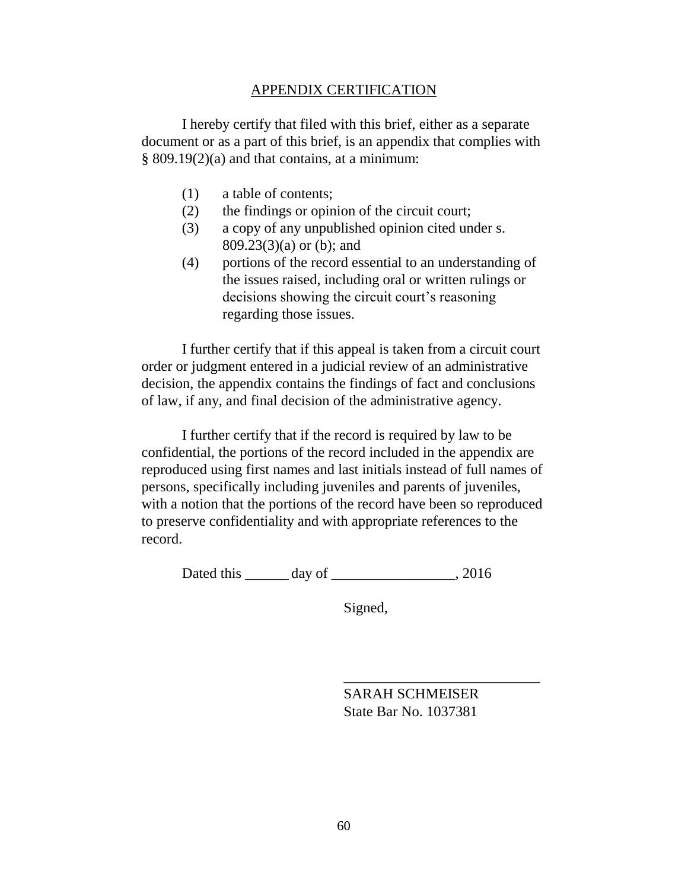### APPENDIX CERTIFICATION

I hereby certify that filed with this brief, either as a separate document or as a part of this brief, is an appendix that complies with § 809.19(2)(a) and that contains, at a minimum:

- (1) a table of contents;
- (2) the findings or opinion of the circuit court;
- (3) a copy of any unpublished opinion cited under s. 809.23(3)(a) or (b); and
- (4) portions of the record essential to an understanding of the issues raised, including oral or written rulings or decisions showing the circuit court's reasoning regarding those issues.

I further certify that if this appeal is taken from a circuit court order or judgment entered in a judicial review of an administrative decision, the appendix contains the findings of fact and conclusions of law, if any, and final decision of the administrative agency.

I further certify that if the record is required by law to be confidential, the portions of the record included in the appendix are reproduced using first names and last initials instead of full names of persons, specifically including juveniles and parents of juveniles, with a notion that the portions of the record have been so reproduced to preserve confidentiality and with appropriate references to the record.

Dated this \_\_\_\_\_\_ day of \_\_\_\_\_\_\_\_\_\_\_\_\_\_\_\_, 2016

Signed,

SARAH SCHMEISER State Bar No. 1037381

\_\_\_\_\_\_\_\_\_\_\_\_\_\_\_\_\_\_\_\_\_\_\_\_\_\_\_